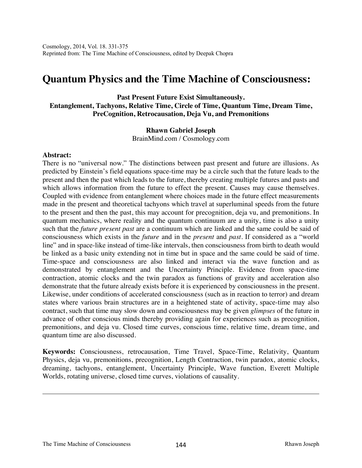# **Quantum Physics and the Time Machine of Consciousness:**

**Past Present Future Exist Simultaneously. Entanglement, Tachyons, Relative Time, Circle of Time, Quantum Time, Dream Time, PreCognition, Retrocausation, Deja Vu, and Premonitions**

> **Rhawn Gabriel Joseph** BrainMind.com / Cosmology.com

#### **Abstract:**

There is no "universal now." The distinctions between past present and future are illusions. As predicted by Einstein's field equations space-time may be a circle such that the future leads to the present and then the past which leads to the future, thereby creating multiple futures and pasts and which allows information from the future to effect the present. Causes may cause themselves. Coupled with evidence from entanglement where choices made in the future effect measurements made in the present and theoretical tachyons which travel at superluminal speeds from the future to the present and then the past, this may account for precognition, deja vu, and premonitions. In quantum mechanics, where reality and the quantum continuum are a unity, time is also a unity such that the *future present past* are a continuum which are linked and the same could be said of consciousness which exists in the *future* and in the *present* and *past*. If considered as a "world line" and in space-like instead of time-like intervals, then consciousness from birth to death would be linked as a basic unity extending not in time but in space and the same could be said of time. Time-space and consciousness are also linked and interact via the wave function and as demonstrated by entanglement and the Uncertainty Principle. Evidence from space-time contraction, atomic clocks and the twin paradox as functions of gravity and acceleration also demonstrate that the future already exists before it is experienced by consciousness in the present. Likewise, under conditions of accelerated consciousness (such as in reaction to terror) and dream states where various brain structures are in a heightened state of activity, space-time may also contract, such that time may slow down and consciousness may be given *glimpses* of the future in advance of other conscious minds thereby providing again for experiences such as precognition, premonitions, and deja vu. Closed time curves, conscious time, relative time, dream time, and quantum time are also discussed.

**Keywords:** Consciousness, retrocausation, Time Travel, Space-Time, Relativity, Quantum Physics, deja vu, premonitions, precognition, Length Contraction, twin paradox, atomic clocks, dreaming, tachyons, entanglement, Uncertainty Principle, Wave function, Everett Multiple Worlds, rotating universe, closed time curves, violations of causality.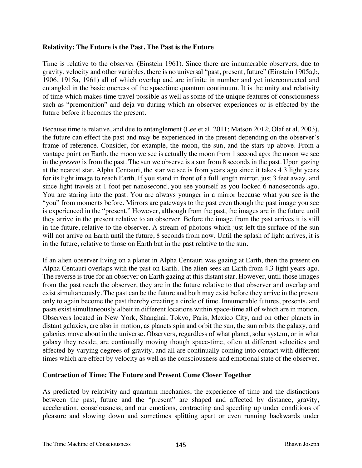## **Relativity: The Future is the Past. The Past is the Future**

Time is relative to the observer (Einstein 1961). Since there are innumerable observers, due to gravity, velocity and other variables, there is no universal "past, present, future" (Einstein 1905a,b, 1906, 1915a, 1961) all of which overlap and are infinite in number and yet interconnected and entangled in the basic oneness of the spacetime quantum continuum. It is the unity and relativity of time which makes time travel possible as well as some of the unique features of consciousness such as "premonition" and deja vu during which an observer experiences or is effected by the future before it becomes the present.

Because time is relative, and due to entanglement (Lee et al. 2011; Matson 2012; Olaf et al. 2003), the future can effect the past and may be experienced in the present depending on the observer's frame of reference. Consider, for example, the moon, the sun, and the stars up above. From a vantage point on Earth, the moon we see is actually the moon from 1 second ago; the moon we see in the *present* is from the past. The sun we observe is a sun from 8 seconds in the past. Upon gazing at the nearest star, Alpha Centauri, the star we see is from years ago since it takes 4.3 light years for its light image to reach Earth. If you stand in front of a full length mirror, just 3 feet away, and since light travels at 1 foot per nanosecond, you see yourself as you looked 6 nanoseconds ago. You are staring into the past. You are always younger in a mirror because what you see is the "you" from moments before. Mirrors are gateways to the past even though the past image you see is experienced in the "present." However, although from the past, the images are in the future until they arrive in the present relative to an observer. Before the image from the past arrives it is still in the future, relative to the observer. A stream of photons which just left the surface of the sun will not arrive on Earth until the future, 8 seconds from now. Until the splash of light arrives, it is in the future, relative to those on Earth but in the past relative to the sun.

If an alien observer living on a planet in Alpha Centauri was gazing at Earth, then the present on Alpha Centauri overlaps with the past on Earth. The alien sees an Earth from 4.3 light years ago. The reverse is true for an observer on Earth gazing at this distant star. However, until those images from the past reach the observer, they are in the future relative to that observer and overlap and exist simultaneously. The past can be the future and both may exist before they arrive in the present only to again become the past thereby creating a circle of time. Innumerable futures, presents, and pasts exist simultaneously albeit in different locations within space-time all of which are in motion. Observers located in New York, Shanghai, Tokyo, Paris, Mexico City, and on other planets in distant galaxies, are also in motion, as planets spin and orbit the sun, the sun orbits the galaxy, and galaxies move about in the universe. Observers, regardless of what planet, solar system, or in what galaxy they reside, are continually moving though space-time, often at different velocities and effected by varying degrees of gravity, and all are continually coming into contact with different times which are effect by velocity as well as the consciousness and emotional state of the observer.

#### **Contraction of Time: The Future and Present Come Closer Together**

As predicted by relativity and quantum mechanics, the experience of time and the distinctions between the past, future and the "present" are shaped and affected by distance, gravity, acceleration, consciousness, and our emotions, contracting and speeding up under conditions of pleasure and slowing down and sometimes splitting apart or even running backwards under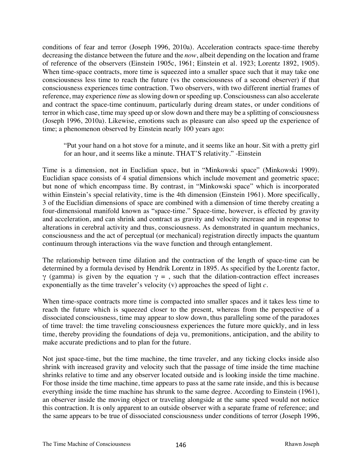conditions of fear and terror (Joseph 1996, 2010a). Acceleration contracts space-time thereby decreasing the distance between the future and the *now*, albeit depending on the location and frame of reference of the observers (Einstein 1905c, 1961; Einstein et al. 1923; Lorentz 1892, 1905). When time-space contracts, more time is squeezed into a smaller space such that it may take one consciousness less time to reach the future (vs the consciousness of a second observer) if that consciousness experiences time contraction. Two observers, with two different inertial frames of reference, may experience *time* as slowing down or speeding up. Consciousness can also accelerate and contract the space-time continuum, particularly during dream states, or under conditions of terror in which case, time may speed up or slow down and there may be a splitting of consciousness (Joseph 1996, 2010a). Likewise, emotions such as pleasure can also speed up the experience of time; a phenomenon observed by Einstein nearly 100 years ago:

"Put your hand on a hot stove for a minute, and it seems like an hour. Sit with a pretty girl for an hour, and it seems like a minute. THAT'S relativity." -Einstein

Time is a dimension, not in Euclidian space, but in "Minkowski space" (Minkowski 1909). Euclidian space consists of 4 spatial dimensions which include movement and geometric space; but none of which encompass time. By contrast, in "Minkowski space" which is incorporated within Einstein's special relativity, time is the 4th dimension (Einstein 1961). More specifically, 3 of the Euclidian dimensions of space are combined with a dimension of time thereby creating a four-dimensional manifold known as "space-time." Space-time, however, is effected by gravity and acceleration, and can shrink and contract as gravity and velocity increase and in response to alterations in cerebral activity and thus, consciousness. As demonstrated in quantum mechanics, consciousness and the act of perceptual (or mechanical) registration directly impacts the quantum continuum through interactions via the wave function and through entanglement.

The relationship between time dilation and the contraction of the length of space-time can be determined by a formula devised by Hendrik Lorentz in 1895. As specified by the Lorentz factor, γ (gamma) is given by the equation γ = , such that the dilation-contraction effect increases exponentially as the time traveler's velocity (v) approaches the speed of light *c*.

When time-space contracts more time is compacted into smaller spaces and it takes less time to reach the future which is squeezed closer to the present, whereas from the perspective of a dissociated consciousness, time may appear to slow down, thus paralleling some of the paradoxes of time travel: the time traveling consciousness experiences the future more quickly, and in less time, thereby providing the foundations of deja vu, premonitions, anticipation, and the ability to make accurate predictions and to plan for the future.

Not just space-time, but the time machine, the time traveler, and any ticking clocks inside also shrink with increased gravity and velocity such that the passage of time inside the time machine shrinks relative to time and any observer located outside and is looking inside the time machine. For those inside the time machine, time appears to pass at the same rate inside, and this is because everything inside the time machine has shrunk to the same degree. According to Einstein (1961), an observer inside the moving object or traveling alongside at the same speed would not notice this contraction. It is only apparent to an outside observer with a separate frame of reference; and the same appears to be true of dissociated consciousness under conditions of terror (Joseph 1996,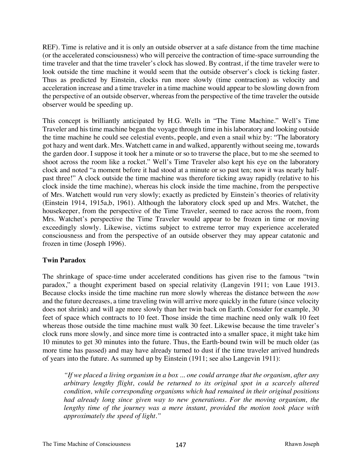REF). Time is relative and it is only an outside observer at a safe distance from the time machine (or the accelerated consciousness) who will perceive the contraction of time-space surrounding the time traveler and that the time traveler's clock has slowed. By contrast, if the time traveler were to look outside the time machine it would seem that the outside observer's clock is ticking faster. Thus as predicted by Einstein, clocks run more slowly (time contraction) as velocity and acceleration increase and a time traveler in a time machine would appear to be slowling down from the perspective of an outside observer, whereas from the perspective of the time traveler the outside observer would be speeding up.

This concept is brilliantly anticipated by H.G. Wells in "The Time Machine." Well's Time Traveler and his time machine began the voyage through time in his laboratory and looking outside the time machine he could see celestial events, people, and even a snail whiz by: "The laboratory got hazy and went dark. Mrs. Watchett came in and walked, apparently without seeing me, towards the garden door. I suppose it took her a minute or so to traverse the place, but to me she seemed to shoot across the room like a rocket." Well's Time Traveler also kept his eye on the laboratory clock and noted "a moment before it had stood at a minute or so past ten; now it was nearly halfpast three!" A clock outside the time machine was therefore ticking away rapidly (relative to his clock inside the time machine), whereas his clock inside the time machine, from the perspective of Mrs. Watchett would run very slowly; exactly as predicted by Einstein's theories of relativity (Einstein 1914, 1915a,b, 1961). Although the laboratory clock sped up and Mrs. Watchet, the housekeeper, from the perspective of the Time Traveler, seemed to race across the room, from Mrs. Watchet's perspective the Time Traveler would appear to be frozen in time or moving exceedingly slowly. Likewise, victims subject to extreme terror may experience accelerated consciousness and from the perspective of an outside observer they may appear catatonic and frozen in time (Joseph 1996).

# **Twin Paradox**

The shrinkage of space-time under accelerated conditions has given rise to the famous "twin paradox," a thought experiment based on special relativity (Langevin 1911; von Laue 1913. Because clocks inside the time machine run more slowly whereas the distance between the *now* and the future decreases, a time traveling twin will arrive more quickly in the future (since velocity does not shrink) and will age more slowly than her twin back on Earth. Consider for example, 30 feet of space which contracts to 10 feet. Those inside the time machine need only walk 10 feet whereas those outside the time machine must walk 30 feet. Likewise because the time traveler's clock runs more slowly, and since more time is contracted into a smaller space, it might take him 10 minutes to get 30 minutes into the future. Thus, the Earth-bound twin will be much older (as more time has passed) and may have already turned to dust if the time traveler arrived hundreds of years into the future. As summed up by Einstein (1911; see also Langevin 1911):

*"If we placed a living organism in a box ... one could arrange that the organism, after any arbitrary lengthy flight, could be returned to its original spot in a scarcely altered condition, while corresponding organisms which had remained in their original positions had already long since given way to new generations. For the moving organism, the lengthy time of the journey was a mere instant, provided the motion took place with approximately the speed of light."*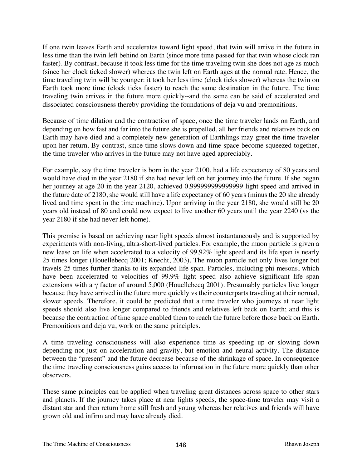If one twin leaves Earth and accelerates toward light speed, that twin will arrive in the future in less time than the twin left behind on Earth (since more time passed for that twin whose clock ran faster). By contrast, because it took less time for the time traveling twin she does not age as much (since her clock ticked slower) whereas the twin left on Earth ages at the normal rate. Hence, the time traveling twin will be younger: it took her less time (clock ticks slower) whereas the twin on Earth took more time (clock ticks faster) to reach the same destination in the future. The time traveling twin arrives in the future more quickly--and the same can be said of accelerated and dissociated consciousness thereby providing the foundations of deja vu and premonitions.

Because of time dilation and the contraction of space, once the time traveler lands on Earth, and depending on how fast and far into the future she is propelled, all her friends and relatives back on Earth may have died and a completely new generation of Earthlings may greet the time traveler upon her return. By contrast, since time slows down and time-space become squeezed together, the time traveler who arrives in the future may not have aged appreciably.

For example, say the time traveler is born in the year 2100, had a life expectancy of 80 years and would have died in the year 2180 if she had never left on her journey into the future. If she began her journey at age 20 in the year 2120, achieved 0.999999999999999 light speed and arrived in the future date of 2180, she would still have a life expectancy of 60 years (minus the 20 she already lived and time spent in the time machine). Upon arriving in the year 2180, she would still be 20 years old instead of 80 and could now expect to live another 60 years until the year 2240 (vs the year 2180 if she had never left home).

This premise is based on achieving near light speeds almost instantaneously and is supported by experiments with non-living, ultra-short-lived particles. For example, the muon particle is given a new lease on life when accelerated to a velocity of 99.92% light speed and its life span is nearly 25 times longer (Houellebecq 2001; Knecht, 2003). The muon particle not only lives longer but travels 25 times further thanks to its expanded life span. Particles, including phi mesons, which have been accelerated to velocities of 99.9% light speed also achieve significant life span extensions with a  $\gamma$  factor of around 5,000 (Houellebecq 2001). Presumably particles live longer because they have arrived in the future more quickly vs their counterparts traveling at their normal, slower speeds. Therefore, it could be predicted that a time traveler who journeys at near light speeds should also live longer compared to friends and relatives left back on Earth; and this is because the contraction of time space enabled them to reach the future before those back on Earth. Premonitions and deja vu, work on the same principles.

A time traveling consciousness will also experience time as speeding up or slowing down depending not just on acceleration and gravity, but emotion and neural activity. The distance between the "present" and the future decrease because of the shrinkage of space. In consequence the time traveling consciousness gains access to information in the future more quickly than other observers.

These same principles can be applied when traveling great distances across space to other stars and planets. If the journey takes place at near lights speeds, the space-time traveler may visit a distant star and then return home still fresh and young whereas her relatives and friends will have grown old and infirm and may have already died.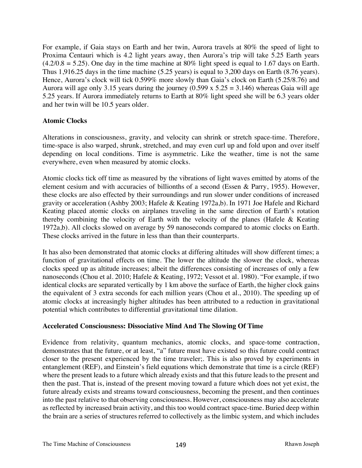For example, if Gaia stays on Earth and her twin, Aurora travels at 80% the speed of light to Proxima Centauri which is 4.2 light years away, then Aurora's trip will take 5.25 Earth years  $(4.2/0.8 = 5.25)$ . One day in the time machine at 80% light speed is equal to 1.67 days on Earth. Thus 1,916.25 days in the time machine (5.25 years) is equal to 3,200 days on Earth (8.76 years). Hence, Aurora's clock will tick 0.599% more slowly than Gaia's clock on Earth (5.25/8.76) and Aurora will age only 3.15 years during the journey  $(0.599 \times 5.25 = 3.146)$  whereas Gaia will age 5.25 years. If Aurora immediately returns to Earth at 80% light speed she will be 6.3 years older and her twin will be 10.5 years older.

## **Atomic Clocks**

Alterations in consciousness, gravity, and velocity can shrink or stretch space-time. Therefore, time-space is also warped, shrunk, stretched, and may even curl up and fold upon and over itself depending on local conditions. Time is asymmetric. Like the weather, time is not the same everywhere, even when measured by atomic clocks.

Atomic clocks tick off time as measured by the vibrations of light waves emitted by atoms of the element cesium and with accuracies of billionths of a second (Essen & Parry, 1955). However, these clocks are also effected by their surroundings and run slower under conditions of increased gravity or acceleration (Ashby 2003; Hafele & Keating 1972a,b). In 1971 Joe Hafele and Richard Keating placed atomic clocks on airplanes traveling in the same direction of Earth's rotation thereby combining the velocity of Earth with the velocity of the planes (Hafele & Keating 1972a,b). All clocks slowed on average by 59 nanoseconds compared to atomic clocks on Earth. These clocks arrived in the future in less than than their counterparts.

It has also been demonstrated that atomic clocks at differing altitudes will show different times; a function of gravitational effects on time. The lower the altitude the slower the clock, whereas clocks speed up as altitude increases; albeit the differences consisting of increases of only a few nanoseconds (Chou et al. 2010; Hafele & Keating, 1972; Vessot et al. 1980). "For example, if two identical clocks are separated vertically by 1 km above the surface of Earth, the higher clock gains the equivalent of 3 extra seconds for each million years (Chou et al., 2010). The speeding up of atomic clocks at increasingly higher altitudes has been attributed to a reduction in gravitational potential which contributes to differential gravitational time dilation.

#### **Accelerated Consciousness: Dissociative Mind And The Slowing Of Time**

Evidence from relativity, quantum mechanics, atomic clocks, and space-tome contraction, demonstrates that the future, or at least, "a" future must have existed so this future could contract closer to the present experienced by the time traveler;. This is also proved by experiments in entanglement (REF), and Einstein's field equations which demonstrate that time is a circle (REF) where the present leads to a future which already exists and that this future leads to the present and then the past. That is, instead of the present moving toward a future which does not yet exist, the future already exists and streams toward consciousness, becoming the present, and then continues into the past relative to that observing consciousness. However, consciousness may also accelerate as reflected by increased brain activity, and this too would contract space-time. Buried deep within the brain are a series of structures referred to collectively as the limbic system, and which includes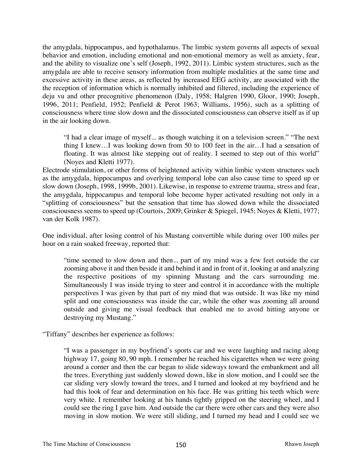the amygdala, hippocampus, and hypothalamus. The limbic system governs all aspects of sexual behavior and emotion, including emotional and non-emotional memory as well as anxiety, fear, and the ability to visualize one's self (Joseph, 1992, 2011). Limbic system structures, such as the amygdala are able to receive sensory information from multiple modalities at the same time and excessive activity in these areas, as reflected by increased EEG activity, are associated with the the reception of information which is normally inhibited and filtered, including the experience of deju vu and other precognitive phenomenon (Daly, 1958; Halgren 1990, Gloor, 1990; Joseph, 1996, 2011; Penfield, 1952; Penfield & Perot 1963; Williams, 1956), such as a splitting of consciousness where time slow down and the dissociated consciousness can observe itself as if up in the air looking down.

"I had a clear image of myself... as though watching it on a television screen." "The next thing I knew…I was looking down from 50 to 100 feet in the air…I had a sensation of floating. It was almost like stepping out of reality. I seemed to step out of this world" (Noyes and Kletti 1977).

Electrode stimulation, or other forms of heightened activity within limbic system structures such as the amygdala, hippocampus and overlying temporal lobe can also cause time to speed up or slow down (Joseph, 1998, 1999b, 2001). Likewise, in response to extreme trauma, stress and fear, the amygdala, hippocampus and temporal lobe become hyper activated resulting not only in a "splitting of consciousness" but the sensation that time has slowed down while the dissociated consciousness seems to speed up (Courtois, 2009; Grinker & Spiegel, 1945; Noyes & Kletti, 1977; van der Kolk 1987).

One individual, after losing control of his Mustang convertible while during over 100 miles per hour on a rain soaked freeway, reported that:

"time seemed to slow down and then... part of my mind was a few feet outside the car zooming above it and then beside it and behind it and in front of it, looking at and analyzing the respective positions of my spinning Mustang and the cars surrounding me. Simultaneously I was inside trying to steer and control it in accordance with the multiple perspectives I was given by that part of my mind that was outside. It was like my mind split and one consciousness was inside the car, while the other was zooming all around outside and giving me visual feedback that enabled me to avoid hitting anyone or destroying my Mustang."

"Tiffany" describes her experience as follows:

"I was a passenger in my boyfriend's sports car and we were laughing and racing along highway 17, going 80, 90 mph. I remember he reached his cigarettes when we were going around a corner and then the car began to slide sideways toward the embankment and all the trees. Everything just suddenly slowed down, like in slow motion, and I could see the car sliding very slowly toward the trees, and I turned and looked at my boyfriend and he had this look of fear and determination on his face. He was gritting his teeth which were very white. I remember looking at his hands tightly gripped on the steering wheel, and I could see the ring I gave him. And outside the car there were other cars and they were also moving in slow motion. We were still sliding, and I turned my head and I could see we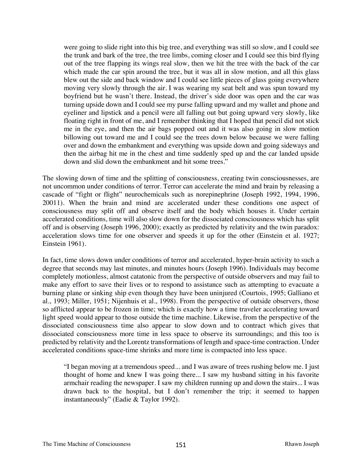were going to slide right into this big tree, and everything was still so slow, and I could see the trunk and bark of the tree, the tree limbs, coming closer and I could see this bird flying out of the tree flapping its wings real slow, then we hit the tree with the back of the car which made the car spin around the tree, but it was all in slow motion, and all this glass blew out the side and back window and I could see little pieces of glass going everywhere moving very slowly through the air. I was wearing my seat belt and was spun toward my boyfriend but he wasn't there. Instead, the driver's side door was open and the car was turning upside down and I could see my purse falling upward and my wallet and phone and eyeliner and lipstick and a pencil were all falling out but going upward very slowly, like floating right in front of me, and I remember thinking that I hoped that pencil did not stick me in the eye, and then the air bags popped out and it was also going in slow motion billowing out toward me and I could see the trees down below because we were falling over and down the embankment and everything was upside down and going sideways and then the airbag hit me in the chest and time suddenly sped up and the car landed upside down and slid down the embankment and hit some trees."

The slowing down of time and the splitting of consciousness, creating twin consciousnesses, are not uncommon under conditions of terror. Terror can accelerate the mind and brain by releasing a cascade of "fight or flight" neurochemicals such as norepinephrine (Joseph 1992, 1994, 1996, 20011). When the brain and mind are accelerated under these conditions one aspect of consciousness may split off and observe itself and the body which houses it. Under certain accelerated conditions, time will also slow down for the dissociated consciousness which has split off and is observing (Joseph 1996, 2000); exactly as predicted by relativity and the twin paradox: acceleration slows time for one observer and speeds it up for the other (Einstein et al. 1927; Einstein 1961).

In fact, time slows down under conditions of terror and accelerated, hyper-brain activity to such a degree that seconds may last minutes, and minutes hours (Joseph 1996). Individuals may become completely motionless, almost catatonic from the perspective of outside observers and may fail to make any effort to save their lives or to respond to assistance such as attempting to evacuate a burning plane or sinking ship even though they have been uninjured (Courtois, 1995; Galliano et al., 1993; Miller, 1951; Nijenhuis et al., 1998). From the perspective of outside observers, those so afflicted appear to be frozen in time; which is exactly how a time traveler accelerating toward light speed would appear to those outside the time machine. Likewise, from the perspective of the dissociated consciousness time also appear to slow down and to contract which gives that dissociated consciousness more time in less space to observe its surroundings; and this too is predicted by relativity and the Lorentz transformations of length and space-time contraction. Under accelerated conditions space-time shrinks and more time is compacted into less space.

"I began moving at a tremendous speed... and I was aware of trees rushing below me. I just thought of home and knew I was going there... I saw my husband sitting in his favorite armchair reading the newspaper. I saw my children running up and down the stairs... I was drawn back to the hospital, but I don't remember the trip; it seemed to happen instantaneously" (Eadie & Taylor 1992).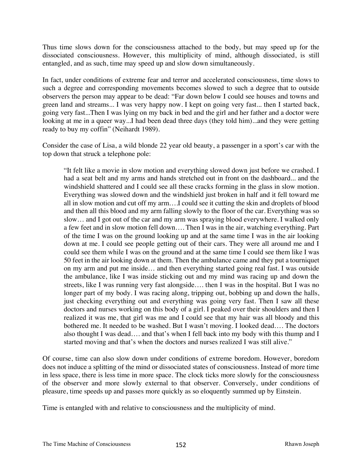Thus time slows down for the consciousness attached to the body, but may speed up for the dissociated consciousness. However, this multiplicity of mind, although dissociated, is still entangled, and as such, time may speed up and slow down simultaneously.

In fact, under conditions of extreme fear and terror and accelerated consciousness, time slows to such a degree and corresponding movements becomes slowed to such a degree that to outside observers the person may appear to be dead: "Far down below I could see houses and towns and green land and streams... I was very happy now. I kept on going very fast... then I started back, going very fast...Then I was lying on my back in bed and the girl and her father and a doctor were looking at me in a queer way...I had been dead three days (they told him)...and they were getting ready to buy my coffin" (Neihardt 1989).

Consider the case of Lisa, a wild blonde 22 year old beauty, a passenger in a sport's car with the top down that struck a telephone pole:

"It felt like a movie in slow motion and everything slowed down just before we crashed. I had a seat belt and my arms and hands stretched out in front on the dashboard... and the windshield shattered and I could see all these cracks forming in the glass in slow motion. Everything was slowed down and the windshield just broken in half and it fell toward me all in slow motion and cut off my arm….I could see it cutting the skin and droplets of blood and then all this blood and my arm falling slowly to the floor of the car. Everything was so slow… and I got out of the car and my arm was spraying blood everywhere. I walked only a few feet and in slow motion fell down…. Then I was in the air, watching everything. Part of the time I was on the ground looking up and at the same time I was in the air looking down at me. I could see people getting out of their cars. They were all around me and I could see them while I was on the ground and at the same time I could see them like I was 50 feet in the air looking down at them. Then the ambulance came and they put a tourniquet on my arm and put me inside… and then everything started going real fast. I was outside the ambulance, like I was inside sticking out and my mind was racing up and down the streets, like I was running very fast alongside…. then I was in the hospital. But I was no longer part of my body. I was racing along, tripping out, bobbing up and down the halls, just checking everything out and everything was going very fast. Then I saw all these doctors and nurses working on this body of a girl. I peaked over their shoulders and then I realized it was me, that girl was me and I could see that my hair was all bloody and this bothered me. It needed to be washed. But I wasn't moving. I looked dead…. The doctors also thought I was dead…. and that's when I fell back into my body with this thump and I started moving and that's when the doctors and nurses realized I was still alive."

Of course, time can also slow down under conditions of extreme boredom. However, boredom does not induce a splitting of the mind or dissociated states of consciousness. Instead of more time in less space, there is less time in more space. The clock ticks more slowly for the consciousness of the observer and more slowly external to that observer. Conversely, under conditions of pleasure, time speeds up and passes more quickly as so eloquently summed up by Einstein.

Time is entangled with and relative to consciousness and the multiplicity of mind.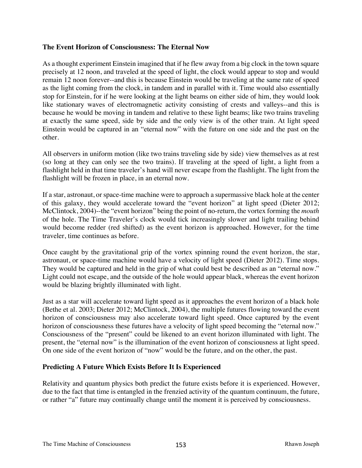## **The Event Horizon of Consciousness: The Eternal Now**

As a thought experiment Einstein imagined that if he flew away from a big clock in the town square precisely at 12 noon, and traveled at the speed of light, the clock would appear to stop and would remain 12 noon forever--and this is because Einstein would be traveling at the same rate of speed as the light coming from the clock, in tandem and in parallel with it. Time would also essentially stop for Einstein, for if he were looking at the light beams on either side of him, they would look like stationary waves of electromagnetic activity consisting of crests and valleys--and this is because he would be moving in tandem and relative to these light beams; like two trains traveling at exactly the same speed, side by side and the only view is of the other train. At light speed Einstein would be captured in an "eternal now" with the future on one side and the past on the other.

All observers in uniform motion (like two trains traveling side by side) view themselves as at rest (so long at they can only see the two trains). If traveling at the speed of light, a light from a flashlight held in that time traveler's hand will never escape from the flashlight. The light from the flashlight will be frozen in place, in an eternal now.

If a star, astronaut, or space-time machine were to approach a supermassive black hole at the center of this galaxy, they would accelerate toward the "event horizon" at light speed (Dieter 2012; McClintock, 2004)--the "event horizon" being the point of no-return, the vortex forming the *mouth* of the hole. The Time Traveler's clock would tick increasingly slower and light trailing behind would become redder (red shifted) as the event horizon is approached. However, for the time traveler, time continues as before.

Once caught by the gravitational grip of the vortex spinning round the event horizon, the star, astronaut, or space-time machine would have a velocity of light speed (Dieter 2012). Time stops. They would be captured and held in the grip of what could best be described as an "eternal now." Light could not escape, and the outside of the hole would appear black, whereas the event horizon would be blazing brightly illuminated with light.

Just as a star will accelerate toward light speed as it approaches the event horizon of a black hole (Bethe et al. 2003; Dieter 2012; McClintock, 2004), the multiple futures flowing toward the event horizon of consciousness may also accelerate toward light speed. Once captured by the event horizon of consciousness these futures have a velocity of light speed becoming the "eternal now." Consciousness of the "present" could be likened to an event horizon illuminated with light. The present, the "eternal now" is the illumination of the event horizon of consciousness at light speed. On one side of the event horizon of "now" would be the future, and on the other, the past.

# **Predicting A Future Which Exists Before It Is Experienced**

Relativity and quantum physics both predict the future exists before it is experienced. However, due to the fact that time is entangled in the frenzied activity of the quantum continuum, the future, or rather "a" future may continually change until the moment it is perceived by consciousness.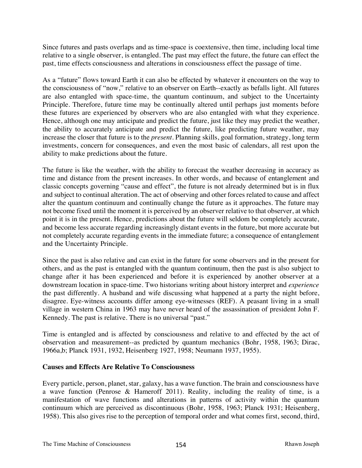Since futures and pasts overlaps and as time-space is coextensive, then time, including local time relative to a single observer, is entangled. The past may effect the future, the future can effect the past, time effects consciousness and alterations in consciousness effect the passage of time.

As a "future" flows toward Earth it can also be effected by whatever it encounters on the way to the consciousness of "now," relative to an observer on Earth--exactly as befalls light. All futures are also entangled with space-time, the quantum continuum, and subject to the Uncertainty Principle. Therefore, future time may be continually altered until perhaps just moments before these futures are experienced by observers who are also entangled with what they experience. Hence, although one may anticipate and predict the future, just like they may predict the weather, the ability to accurately anticipate and predict the future, like predicting future weather, may increase the closer that future is to the *present*. Planning skills, goal formation, strategy, long term investments, concern for consequences, and even the most basic of calendars, all rest upon the ability to make predictions about the future.

The future is like the weather, with the ability to forecast the weather decreasing in accuracy as time and distance from the present increases. In other words, and because of entanglement and classic concepts governing "cause and effect", the future is not already determined but is in flux and subject to continual alteration. The act of observing and other forces related to cause and affect alter the quantum continuum and continually change the future as it approaches. The future may not become fixed until the moment it is perceived by an observer relative to that observer, at which point it is in the present. Hence, predictions about the future will seldom be completely accurate, and become less accurate regarding increasingly distant events in the future, but more accurate but not completely accurate regarding events in the immediate future; a consequence of entanglement and the Uncertainty Principle.

Since the past is also relative and can exist in the future for some observers and in the present for others, and as the past is entangled with the quantum continuum, then the past is also subject to change after it has been experienced and before it is experienced by another observer at a downstream location in space-time. Two historians writing about history interpret and *experience* the past differently. A husband and wife discussing what happened at a party the night before, disagree. Eye-witness accounts differ among eye-witnesses (REF). A peasant living in a small village in western China in 1963 may have never heard of the assassination of president John F. Kennedy. The past is relative. There is no universal "past."

Time is entangled and is affected by consciousness and relative to and effected by the act of observation and measurement--as predicted by quantum mechanics (Bohr, 1958, 1963; Dirac, 1966a,b; Planck 1931, 1932, Heisenberg 1927, 1958; Neumann 1937, 1955).

# **Causes and Effects Are Relative To Consciousness**

Every particle, person, planet, star, galaxy, has a wave function. The brain and consciousness have a wave function (Penrose & Hameroff 2011). Reality, including the reality of time, is a manifestation of wave functions and alterations in patterns of activity within the quantum continuum which are perceived as discontinuous (Bohr, 1958, 1963; Planck 1931; Heisenberg, 1958). This also gives rise to the perception of temporal order and what comes first, second, third,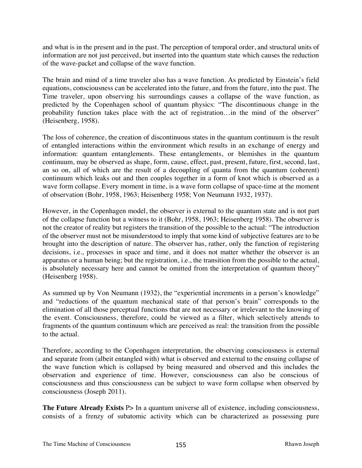and what is in the present and in the past. The perception of temporal order, and structural units of information are not just perceived, but inserted into the quantum state which causes the reduction of the wave-packet and collapse of the wave function.

The brain and mind of a time traveler also has a wave function. As predicted by Einstein's field equations, consciousness can be accelerated into the future, and from the future, into the past. The Time traveler, upon observing his surroundings causes a collapse of the wave function, as predicted by the Copenhagen school of quantum physics: "The discontinuous change in the probability function takes place with the act of registration…in the mind of the observer" (Heisenberg, 1958).

The loss of coherence, the creation of discontinuous states in the quantum continuum is the result of entangled interactions within the environment which results in an exchange of energy and information: quantum entanglements. These entanglements, or blemishes in the quantum continuum, may be observed as shape, form, cause, effect, past, present, future, first, second, last, an so on, all of which are the result of a decoupling of quanta from the quantum (coherent) continuum which leaks out and then couples together in a form of knot which is observed as a wave form collapse. Every moment in time, is a wave form collapse of space-time at the moment of observation (Bohr, 1958, 1963; Heisenberg 1958; Von Neumann 1932, 1937).

However, in the Copenhagen model, the observer is external to the quantum state and is not part of the collapse function but a witness to it (Bohr, 1958, 1963; Heisenberg 1958). The observer is not the creator of reality but registers the transition of the possible to the actual: "The introduction of the observer must not be misunderstood to imply that some kind of subjective features are to be brought into the description of nature. The observer has, rather, only the function of registering decisions, i.e., processes in space and time, and it does not matter whether the observer is an apparatus or a human being; but the registration, i.e., the transition from the possible to the actual, is absolutely necessary here and cannot be omitted from the interpretation of quantum theory" (Heisenberg 1958).

As summed up by Von Neumann (1932), the "experiential increments in a person's knowledge" and "reductions of the quantum mechanical state of that person's brain" corresponds to the elimination of all those perceptual functions that are not necessary or irrelevant to the knowing of the event. Consciousness, therefore, could be viewed as a filter, which selectively attends to fragments of the quantum continuum which are perceived as real: the transition from the possible to the actual.

Therefore, according to the Copenhagen interpretation, the observing consciousness is external and separate from (albeit entangled with) what is observed and external to the ensuing collapse of the wave function which is collapsed by being measured and observed and this includes the observation and experience of time. However, consciousness can also be conscious of consciousness and thus consciousness can be subject to wave form collapse when observed by consciousness (Joseph 2011).

**The Future Already Exists P> In a quantum universe all of existence, including consciousness,** consists of a frenzy of subatomic activity which can be characterized as possessing pure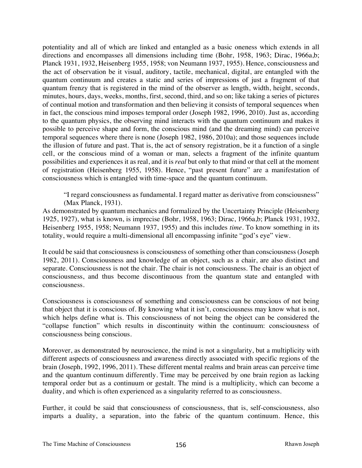potentiality and all of which are linked and entangled as a basic oneness which extends in all directions and encompasses all dimensions including time (Bohr, 1958, 1963; Dirac, 1966a,b; Planck 1931, 1932, Heisenberg 1955, 1958; von Neumann 1937, 1955). Hence, consciousness and the act of observation be it visual, auditory, tactile, mechanical, digital, are entangled with the quantum continuum and creates a static and series of impressions of just a fragment of that quantum frenzy that is registered in the mind of the observer as length, width, height, seconds, minutes, hours, days, weeks, months, first, second, third, and so on; like taking a series of pictures of continual motion and transformation and then believing it consists of temporal sequences when in fact, the conscious mind imposes temporal order (Joseph 1982, 1996, 2010). Just as, according to the quantum physics, the observing mind interacts with the quantum continuum and makes it possible to perceive shape and form, the conscious mind (and the dreaming mind) can perceive temporal sequences where there is none (Joseph 1982, 1986, 2010a); and those sequences include the illusion of future and past. That is, the act of sensory registration, be it a function of a single cell, or the conscious mind of a woman or man, selects a fragment of the infinite quantum possibilities and experiences it as real, and it is *real* but only to that mind or that cell at the moment of registration (Heisenberg 1955, 1958). Hence, "past present future" are a manifestation of consciousness which is entangled with time-space and the quantum continuum.

"I regard consciousness as fundamental. I regard matter as derivative from consciousness" (Max Planck, 1931).

As demonstrated by quantum mechanics and formalized by the Uncertainty Principle (Heisenberg 1925, 1927), what is known, is imprecise (Bohr, 1958, 1963; Dirac, 1966a,b; Planck 1931, 1932, Heisenberg 1955, 1958; Neumann 1937, 1955) and this includes *time*. To know something in its totality, would require a multi-dimensional all encompassing infinite "god's eye" view.

It could be said that consciousness is consciousness of something other than consciousness (Joseph 1982, 2011). Consciousness and knowledge of an object, such as a chair, are also distinct and separate. Consciousness is not the chair. The chair is not consciousness. The chair is an object of consciousness, and thus become discontinuous from the quantum state and entangled with consciousness.

Consciousness is consciousness of something and consciousness can be conscious of not being that object that it is conscious of. By knowing what it isn't, consciousness may know what is not, which helps define what is. This consciousness of not being the object can be considered the "collapse function" which results in discontinuity within the continuum: consciousness of consciousness being conscious.

Moreover, as demonstrated by neuroscience, the mind is not a singularity, but a multiplicity with different aspects of consciousness and awareness directly associated with specific regions of the brain (Joseph, 1992, 1996, 2011). These different mental realms and brain areas can perceive time and the quantum continuum differently. Time may be perceived by one brain region as lacking temporal order but as a continuum or gestalt. The mind is a multiplicity, which can become a duality, and which is often experienced as a singularity referred to as consciousness.

Further, it could be said that consciousness of consciousness, that is, self-consciousness, also imparts a duality, a separation, into the fabric of the quantum continuum. Hence, this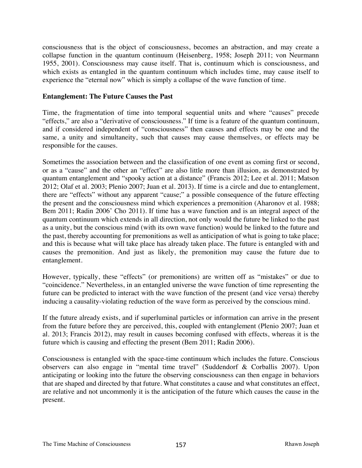consciousness that is the object of consciousness, becomes an abstraction, and may create a collapse function in the quantum continuum (Heisenberg, 1958; Joseph 2011; von Neurmann 1955, 2001). Consciousness may cause itself. That is, continuum which is consciousness, and which exists as entangled in the quantum continuum which includes time, may cause itself to experience the "eternal now" which is simply a collapse of the wave function of time.

#### **Entanglement: The Future Causes the Past**

Time, the fragmentation of time into temporal sequential units and where "causes" precede "effects," are also a "derivative of consciousness." If time is a feature of the quantum continuum, and if considered independent of "consciousness" then causes and effects may be one and the same, a unity and simultaneity, such that causes may cause themselves, or effects may be responsible for the causes.

Sometimes the association between and the classification of one event as coming first or second, or as a "cause" and the other an "effect" are also little more than illusion, as demonstrated by quantum entanglement and "spooky action at a distance" (Francis 2012; Lee et al. 2011; Matson 2012; Olaf et al. 2003; Plenio 2007; Juan et al. 2013). If time is a circle and due to entanglement, there are "effects" without any apparent "cause;" a possible consequence of the future effecting the present and the consciousness mind which experiences a premonition (Aharonov et al. 1988; Bem 2011; Radin 2006' Cho 2011). If time has a wave function and is an integral aspect of the quantum continuum which extends in all direction, not only would the future be linked to the past as a unity, but the conscious mind (with its own wave function) would be linked to the future and the past, thereby accounting for premonitions as well as anticipation of what is going to take place; and this is because what will take place has already taken place. The future is entangled with and causes the premonition. And just as likely, the premonition may cause the future due to entanglement.

However, typically, these "effects" (or premonitions) are written off as "mistakes" or due to "coincidence." Nevertheless, in an entangled universe the wave function of time representing the future can be predicted to interact with the wave function of the present (and vice versa) thereby inducing a causality-violating reduction of the wave form as perceived by the conscious mind.

If the future already exists, and if superluminal particles or information can arrive in the present from the future before they are perceived, this, coupled with entanglement (Plenio 2007; Juan et al. 2013; Francis 2012), may result in causes becoming confused with effects, whereas it is the future which is causing and effecting the present (Bem 2011; Radin 2006).

Consciousness is entangled with the space-time continuum which includes the future. Conscious observers can also engage in "mental time travel" (Suddendorf & Corballis 2007). Upon anticipating or looking into the future the observing consciousness can then engage in behaviors that are shaped and directed by that future. What constitutes a cause and what constitutes an effect, are relative and not uncommonly it is the anticipation of the future which causes the cause in the present.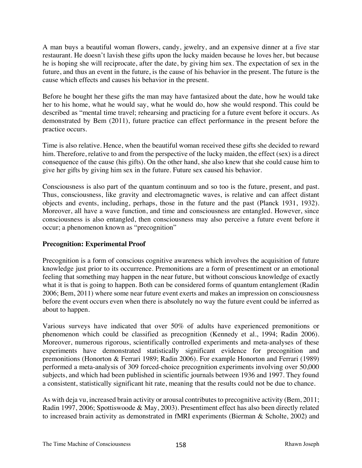A man buys a beautiful woman flowers, candy, jewelry, and an expensive dinner at a five star restaurant. He doesn't lavish these gifts upon the lucky maiden because he loves her, but because he is hoping she will reciprocate, after the date, by giving him sex. The expectation of sex in the future, and thus an event in the future, is the cause of his behavior in the present. The future is the cause which effects and causes his behavior in the present.

Before he bought her these gifts the man may have fantasized about the date, how he would take her to his home, what he would say, what he would do, how she would respond. This could be described as "mental time travel; rehearsing and practicing for a future event before it occurs. As demonstrated by Bem (2011), future practice can effect performance in the present before the practice occurs.

Time is also relative. Hence, when the beautiful woman received these gifts she decided to reward him. Therefore, relative to and from the perspective of the lucky maiden, the effect (sex) is a direct consequence of the cause (his gifts). On the other hand, she also knew that she could cause him to give her gifts by giving him sex in the future. Future sex caused his behavior.

Consciousness is also part of the quantum continuum and so too is the future, present, and past. Thus, consciousness, like gravity and electromagnetic waves, is relative and can affect distant objects and events, including, perhaps, those in the future and the past (Planck 1931, 1932). Moreover, all have a wave function, and time and consciousness are entangled. However, since consciousness is also entangled, then consciousness may also perceive a future event before it occur; a phenomenon known as "precognition"

# **Precognition: Experimental Proof**

Precognition is a form of conscious cognitive awareness which involves the acquisition of future knowledge just prior to its occurrence. Premonitions are a form of presentiment or an emotional feeling that something may happen in the near future, but without conscious knowledge of exactly what it is that is going to happen. Both can be considered forms of quantum entanglement (Radin 2006; Bem, 2011) where some near future event exerts and makes an impression on consciousness before the event occurs even when there is absolutely no way the future event could be inferred as about to happen.

Various surveys have indicated that over 50% of adults have experienced premonitions or phenomenon which could be classified as precognition (Kennedy et al., 1994; Radin 2006). Moreover, numerous rigorous, scientifically controlled experiments and meta-analyses of these experiments have demonstrated statistically significant evidence for precognition and premonitions (Honorton & Ferrari 1989; Radin 2006). For example Honorton and Ferrari (1989) performed a meta-analysis of 309 forced-choice precognition experiments involving over 50,000 subjects, and which had been published in scientific journals between 1936 and 1997. They found a consistent, statistically significant hit rate, meaning that the results could not be due to chance.

As with deja vu, increased brain activity or arousal contributes to precognitive activity (Bem, 2011; Radin 1997, 2006; Spottiswoode & May, 2003). Presentiment effect has also been directly related to increased brain activity as demonstrated in fMRI experiments (Bierman & Scholte, 2002) and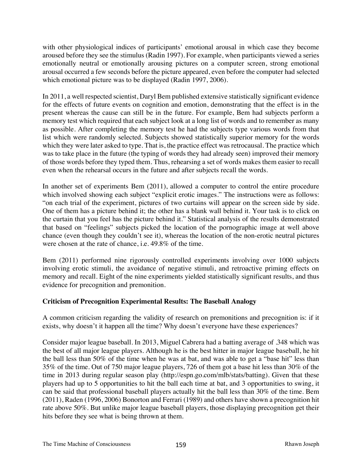with other physiological indices of participants' emotional arousal in which case they become aroused before they see the stimulus (Radin 1997). For example, when participants viewed a series emotionally neutral or emotionally arousing pictures on a computer screen, strong emotional arousal occurred a few seconds before the picture appeared, even before the computer had selected which emotional picture was to be displayed (Radin 1997, 2006).

In 2011, a well respected scientist, Daryl Bem published extensive statistically significant evidence for the effects of future events on cognition and emotion, demonstrating that the effect is in the present whereas the cause can still be in the future. For example, Bem had subjects perform a memory test which required that each subject look at a long list of words and to remember as many as possible. After completing the memory test he had the subjects type various words from that list which were randomly selected. Subjects showed statistically superior memory for the words which they were later asked to type. That is, the practice effect was retrocausal. The practice which was to take place in the future (the typing of words they had already seen) improved their memory of those words before they typed them. Thus, rehearsing a set of words makes them easier to recall even when the rehearsal occurs in the future and after subjects recall the words.

In another set of experiments Bem (2011), allowed a computer to control the entire procedure which involved showing each subject "explicit erotic images." The instructions were as follows: "on each trial of the experiment, pictures of two curtains will appear on the screen side by side. One of them has a picture behind it; the other has a blank wall behind it. Your task is to click on the curtain that you feel has the picture behind it." Statistical analysis of the results demonstrated that based on "feelings" subjects picked the location of the pornographic image at well above chance (even though they couldn't see it), whereas the location of the non-erotic neutral pictures were chosen at the rate of chance, i.e. 49.8% of the time.

Bem (2011) performed nine rigorously controlled experiments involving over 1000 subjects involving erotic stimuli, the avoidance of negative stimuli, and retroactive priming effects on memory and recall. Eight of the nine experiments yielded statistically significant results, and thus evidence for precognition and premonition.

# **Criticism of Precognition Experimental Results: The Baseball Analogy**

A common criticism regarding the validity of research on premonitions and precognition is: if it exists, why doesn't it happen all the time? Why doesn't everyone have these experiences?

Consider major league baseball. In 2013, Miguel Cabrera had a batting average of .348 which was the best of all major league players. Although he is the best hitter in major league baseball, he hit the ball less than 50% of the time when he was at bat, and was able to get a "base hit" less than 35% of the time. Out of 750 major league players, 726 of them got a base hit less than 30% of the time in 2013 during regular season play (http://espn.go.com/mlb/stats/batting). Given that these players had up to 5 opportunities to hit the ball each time at bat, and 3 opportunities to swing, it can be said that professional baseball players actually hit the ball less than 30% of the time. Bem (2011), Raden (1996, 2006) Bonorton and Ferrari (1989) and others have shown a precognition hit rate above 50%. But unlike major league baseball players, those displaying precognition get their hits before they see what is being thrown at them.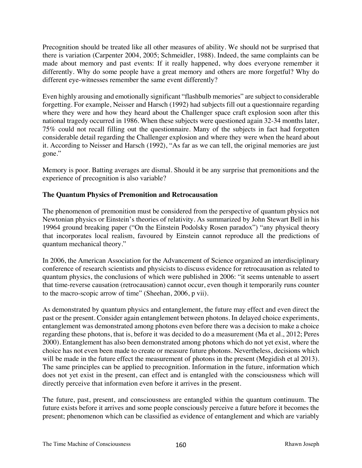Precognition should be treated like all other measures of ability. We should not be surprised that there is variation (Carpenter 2004, 2005; Schmeidler, 1988). Indeed, the same complaints can be made about memory and past events: If it really happened, why does everyone remember it differently. Why do some people have a great memory and others are more forgetful? Why do different eye-witnesses remember the same event differently?

Even highly arousing and emotionally significant "flashbulb memories" are subject to considerable forgetting. For example, Neisser and Harsch (1992) had subjects fill out a questionnaire regarding where they were and how they heard about the Challenger space craft explosion soon after this national tragedy occurred in 1986. When these subjects were questioned again 32-34 months later, 75% could not recall filling out the questionnaire. Many of the subjects in fact had forgotten considerable detail regarding the Challenger explosion and where they were when the heard about it. According to Neisser and Harsch (1992), "As far as we can tell, the original memories are just gone."

Memory is poor. Batting averages are dismal. Should it be any surprise that premonitions and the experience of precognition is also variable?

# **The Quantum Physics of Premonition and Retrocausation**

The phenomenon of premonition must be considered from the perspective of quantum physics not Newtonian physics or Einstein's theories of relativity. As summarized by John Stewart Bell in his 19964 ground breaking paper ("On the Einstein Podolsky Rosen paradox") "any physical theory that incorporates local realism, favoured by Einstein cannot reproduce all the predictions of quantum mechanical theory."

In 2006, the American Association for the Advancement of Science organized an interdisciplinary conference of research scientists and physicists to discuss evidence for retrocausation as related to quantum physics, the conclusions of which were published in 2006: "it seems untenable to assert that time-reverse causation (retrocausation) cannot occur, even though it temporarily runs counter to the macro-scopic arrow of time" (Sheehan, 2006, p vii).

As demonstrated by quantum physics and entanglement, the future may effect and even direct the past or the present. Consider again entanglement between photons. In delayed choice experiments, entanglement was demonstrated among photons even before there was a decision to make a choice regarding these photons, that is, before it was decided to do a measurement (Ma et al., 2012; Peres 2000). Entanglement has also been demonstrated among photons which do not yet exist, where the choice has not even been made to create or measure future photons. Nevertheless, decisions which will be made in the future effect the measurement of photons in the present (Megidish et al 2013). The same principles can be applied to precognition. Information in the future, information which does not yet exist in the present, can effect and is entangled with the consciousness which will directly perceive that information even before it arrives in the present.

The future, past, present, and consciousness are entangled within the quantum continuum. The future exists before it arrives and some people consciously perceive a future before it becomes the present; phenomenon which can be classified as evidence of entanglement and which are variably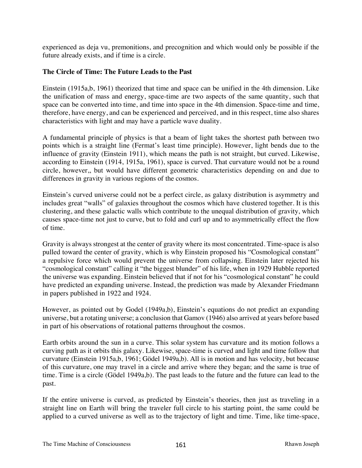experienced as deja vu, premonitions, and precognition and which would only be possible if the future already exists, and if time is a circle.

## **The Circle of Time: The Future Leads to the Past**

Einstein (1915a,b, 1961) theorized that time and space can be unified in the 4th dimension. Like the unification of mass and energy, space-time are two aspects of the same quantity, such that space can be converted into time, and time into space in the 4th dimension. Space-time and time, therefore, have energy, and can be experienced and perceived, and in this respect, time also shares characteristics with light and may have a particle wave duality.

A fundamental principle of physics is that a beam of light takes the shortest path between two points which is a straight line (Fermat's least time principle). However, light bends due to the influence of gravity (Einstein 1911), which means the path is not straight, but curved. Likewise, according to Einstein (1914, 1915a, 1961), space is curved. That curvature would not be a round circle, however,, but would have different geometric characteristics depending on and due to differences in gravity in various regions of the cosmos.

Einstein's curved universe could not be a perfect circle, as galaxy distribution is asymmetry and includes great "walls" of galaxies throughout the cosmos which have clustered together. It is this clustering, and these galactic walls which contribute to the unequal distribution of gravity, which causes space-time not just to curve, but to fold and curl up and to asymmetrically effect the flow of time.

Gravity is always strongest at the center of gravity where its most concentrated. Time-space is also pulled toward the center of gravity, which is why Einstein proposed his "Cosmological constant" a repulsive force which would prevent the universe from collapsing. Einstein later rejected his "cosmological constant" calling it "the biggest blunder" of his life, when in 1929 Hubble reported the universe was expanding. Einstein believed that if not for his "cosmological constant" he could have predicted an expanding universe. Instead, the prediction was made by Alexander Friedmann in papers published in 1922 and 1924.

However, as pointed out by Godel (1949a,b), Einstein's equations do not predict an expanding universe, but a rotating universe; a conclusion that Gamov (1946) also arrived at years before based in part of his observations of rotational patterns throughout the cosmos.

Earth orbits around the sun in a curve. This solar system has curvature and its motion follows a curving path as it orbits this galaxy. Likewise, space-time is curved and light and time follow that curvature (Einstein 1915a,b, 1961; Gödel 1949a,b). All is in motion and has velocity, but because of this curvature, one may travel in a circle and arrive where they began; and the same is true of time. Time is a circle (Gödel 1949a,b). The past leads to the future and the future can lead to the past.

If the entire universe is curved, as predicted by Einstein's theories, then just as traveling in a straight line on Earth will bring the traveler full circle to his starting point, the same could be applied to a curved universe as well as to the trajectory of light and time. Time, like time-space,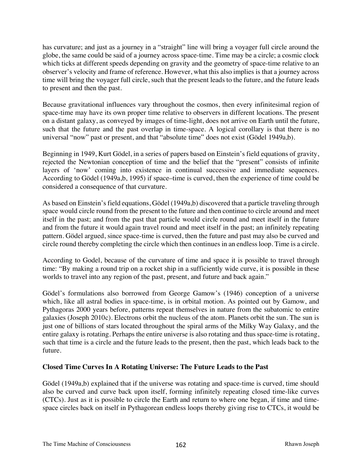has curvature; and just as a journey in a "straight" line will bring a voyager full circle around the globe, the same could be said of a journey across space-time. Time may be a circle; a cosmic clock which ticks at different speeds depending on gravity and the geometry of space-time relative to an observer's velocity and frame of reference. However, what this also implies is that a journey across time will bring the voyager full circle, such that the present leads to the future, and the future leads to present and then the past.

Because gravitational influences vary throughout the cosmos, then every infinitesimal region of space-time may have its own proper time relative to observers in different locations. The present on a distant galaxy, as conveyed by images of time-light, does not arrive on Earth until the future, such that the future and the past overlap in time-space. A logical corollary is that there is no universal "now" past or present, and that "absolute time" does not exist (Gödel 1949a,b).

Beginning in 1949, Kurt Gödel, in a series of papers based on Einstein's field equations of gravity, rejected the Newtonian conception of time and the belief that the "present" consists of infinite layers of 'now' coming into existence in continual successive and immediate sequences. According to Gödel (1949a,b, 1995) if space–time is curved, then the experience of time could be considered a consequence of that curvature.

As based on Einstein's field equations, Gödel (1949a,b) discovered that a particle traveling through space would circle round from the present to the future and then continue to circle around and meet itself in the past; and from the past that particle would circle round and meet itself in the future and from the future it would again travel round and meet itself in the past; an infinitely repeating pattern. Gödel argued, since space-time is curved, then the future and past may also be curved and circle round thereby completing the circle which then continues in an endless loop. Time is a circle.

According to Godel, because of the curvature of time and space it is possible to travel through time: "By making a round trip on a rocket ship in a sufficiently wide curve, it is possible in these worlds to travel into any region of the past, present, and future and back again."

Gödel's formulations also borrowed from George Gamow's (1946) conception of a universe which, like all astral bodies in space-time, is in orbital motion. As pointed out by Gamow, and Pythagoras 2000 years before, patterns repeat themselves in nature from the subatomic to entire galaxies (Joseph 2010c). Electrons orbit the nucleus of the atom. Planets orbit the sun. The sun is just one of billions of stars located throughout the spiral arms of the Milky Way Galaxy, and the entire galaxy is rotating. Perhaps the entire universe is also rotating and thus space-time is rotating, such that time is a circle and the future leads to the present, then the past, which leads back to the future.

# **Closed Time Curves In A Rotating Universe: The Future Leads to the Past**

Gödel (1949a,b) explained that if the universe was rotating and space-time is curved, time should also be curved and curve back upon itself, forming infinitely repeating closed time-like curves (CTCs). Just as it is possible to circle the Earth and return to where one began, if time and timespace circles back on itself in Pythagorean endless loops thereby giving rise to CTCs, it would be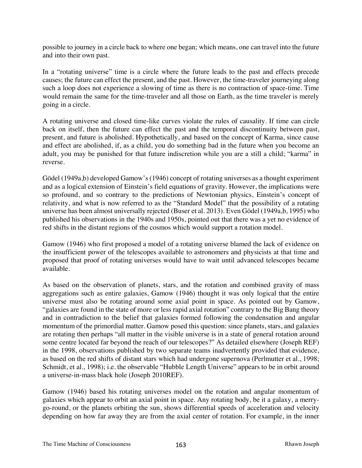possible to journey in a circle back to where one began; which means, one can travel into the future and into their own past.

In a "rotating universe" time is a circle where the future leads to the past and effects precede causes; the future can effect the present, and the past. However, the time-traveler journeying along such a loop does not experience a slowing of time as there is no contraction of space-time. Time would remain the same for the time-traveler and all those on Earth, as the time traveler is merely going in a circle.

A rotating universe and closed time-like curves violate the rules of causality. If time can circle back on itself, then the future can effect the past and the temporal discontinuity between past, present, and future is abolished. Hypothetically, and based on the concept of Karma, since cause and effect are abolished, if, as a child, you do something bad in the future when you become an adult, you may be punished for that future indiscretion while you are a still a child; "karma" in reverse.

Gödel (1949a,b) developed Gamow's (1946) concept of rotating universes as a thought experiment and as a logical extension of Einstein's field equations of gravity. However, the implications were so profound, and so contrary to the predictions of Newtonian physics, Einstein's concept of relativity, and what is now referred to as the "Standard Model" that the possibility of a rotating universe has been almost universally rejected (Buser et al. 2013). Even Gödel (1949a,b, 1995) who published his observations in the 1940s and 1950s, pointed out that there was a yet no evidence of red shifts in the distant regions of the cosmos which would support a rotation model.

Gamow (1946) who first proposed a model of a rotating universe blamed the lack of evidence on the insufficient power of the telescopes available to astronomers and physicists at that time and proposed that proof of rotating universes would have to wait until advanced telescopes became available.

As based on the observation of planets, stars, and the rotation and combined gravity of mass aggregations such as entire galaxies, Gamow (1946) thought it was only logical that the entire universe must also be rotating around some axial point in space. As pointed out by Gamow, "galaxies are found in the state of more or less rapid axial rotation" contrary to the Big Bang theory and in contradiction to the belief that galaxies formed following the condensation and angular momentum of the primordial matter. Gamow posed this question: since planets, stars, and galaxies are rotating then perhaps "all matter in the visible universe is in a state of general rotation around some centre located far beyond the reach of our telescopes?" As detailed elsewhere (Joseph REF) in the 1998, observations published by two separate teams inadvertently provided that evidence, as based on the red shifts of distant stars which had undergone supernova (Perlmutter et al., 1998; Schmidt, et al., 1998); i.e. the observable "Hubble Length Universe" appears to be in orbit around a universe-in-mass black hole (Joseph 2010REF).

Gamow (1946) based his rotating universes model on the rotation and angular momentum of galaxies which appear to orbit an axial point in space. Any rotating body, be it a galaxy, a merrygo-round, or the planets orbiting the sun, shows differential speeds of acceleration and velocity depending on how far away they are from the axial center of rotation. For example, in the inner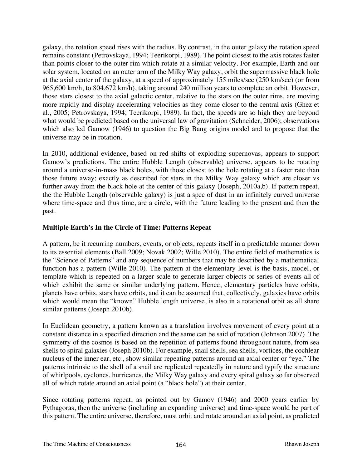galaxy, the rotation speed rises with the radius. By contrast, in the outer galaxy the rotation speed remains constant (Petrovskaya, 1994; Teerikorpi, 1989). The point closest to the axis rotates faster than points closer to the outer rim which rotate at a similar velocity. For example, Earth and our solar system, located on an outer arm of the Milky Way galaxy, orbit the supermassive black hole at the axial center of the galaxy, at a speed of approximately 155 miles/sec (250 km/sec) (or from 965,600 km/h, to 804,672 km/h), taking around 240 million years to complete an orbit. However, those stars closest to the axial galactic center, relative to the stars on the outer rims, are moving more rapidly and display accelerating velocities as they come closer to the central axis (Ghez et al., 2005; Petrovskaya, 1994; Teerikorpi, 1989). In fact, the speeds are so high they are beyond what would be predicted based on the universal law of gravitation (Schneider, 2006); observations which also led Gamow (1946) to question the Big Bang origins model and to propose that the universe may be in rotation.

In 2010, additional evidence, based on red shifts of exploding supernovas, appears to support Gamow's predictions. The entire Hubble Length (observable) universe, appears to be rotating around a universe-in-mass black holes, with those closest to the hole rotating at a faster rate than those future away; exactly as described for stars in the Milky Way galaxy which are closer vs further away from the black hole at the center of this galaxy (Joseph, 2010a,b). If pattern repeat, the the Hubble Length (observable galaxy) is just a spec of dust in an infinitely curved universe where time-space and thus time, are a circle, with the future leading to the present and then the past.

# **Multiple Earth's In the Circle of Time: Patterns Repeat**

A pattern, be it recurring numbers, events, or objects, repeats itself in a predictable manner down to its essential elements (Ball 2009; Novak 2002; Wille 2010). The entire field of mathematics is the "Science of Patterns" and any sequence of numbers that may be described by a mathematical function has a pattern (Wille 2010). The pattern at the elementary level is the basis, model, or template which is repeated on a larger scale to generate larger objects or series of events all of which exhibit the same or similar underlying pattern. Hence, elementary particles have orbits, planets have orbits, stars have orbits, and it can be assumed that, collectively, galaxies have orbits which would mean the "known" Hubble length universe, is also in a rotational orbit as all share similar patterns (Joseph 2010b).

In Euclidean geometry, a pattern known as a translation involves movement of every point at a constant distance in a specified direction and the same can be said of rotation (Johnson 2007). The symmetry of the cosmos is based on the repetition of patterns found throughout nature, from sea shells to spiral galaxies (Joseph 2010b). For example, snail shells, sea shells, vortices, the cochlear nucleus of the inner ear, etc., show similar repeating patterns around an axial center or "eye." The patterns intrinsic to the shell of a snail are replicated repeatedly in nature and typify the structure of whirlpools, cyclones, hurricanes, the Milky Way galaxy and every spiral galaxy so far observed all of which rotate around an axial point (a "black hole") at their center.

Since rotating patterns repeat, as pointed out by Gamov (1946) and 2000 years earlier by Pythagoras, then the universe (including an expanding universe) and time-space would be part of this pattern. The entire universe, therefore, must orbit and rotate around an axial point, as predicted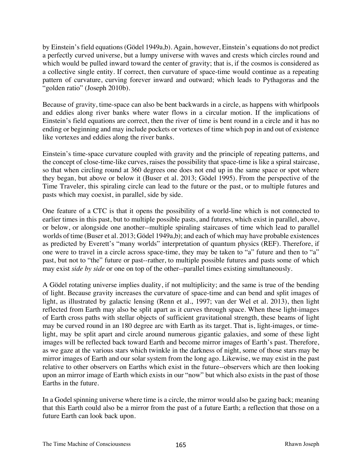by Einstein's field equations (Gödel 1949a,b). Again, however, Einstein's equations do not predict a perfectly curved universe, but a lumpy universe with waves and crests which circles round and which would be pulled inward toward the center of gravity; that is, if the cosmos is considered as a collective single entity. If correct, then curvature of space-time would continue as a repeating pattern of curvature, curving forever inward and outward; which leads to Pythagoras and the "golden ratio" (Joseph 2010b).

Because of gravity, time-space can also be bent backwards in a circle, as happens with whirlpools and eddies along river banks where water flows in a circular motion. If the implications of Einstein's field equations are correct, then the river of time is bent round in a circle and it has no ending or beginning and may include pockets or vortexes of time which pop in and out of existence like vortexes and eddies along the river banks.

Einstein's time-space curvature coupled with gravity and the principle of repeating patterns, and the concept of close-time-like curves, raises the possibility that space-time is like a spiral staircase, so that when circling round at 360 degrees one does not end up in the same space or spot where they began, but above or below it (Buser et al. 2013; Gödel 1995). From the perspective of the Time Traveler, this spiraling circle can lead to the future or the past, or to multiple futures and pasts which may coexist, in parallel, side by side.

One feature of a CTC is that it opens the possibility of a world-line which is not connected to earlier times in this past, but to multiple possible pasts, and futures, which exist in parallel, above, or below, or alongside one another--multiple spiraling staircases of time which lead to parallel worlds of time (Buser et al. 2013; Gödel 1949a,b); and each of which may have probable existences as predicted by Everett's "many worlds" interpretation of quantum physics (REF). Therefore, if one were to travel in a circle across space-time, they may be taken to "a" future and then to "a" past, but not to "the" future or past--rather, to multiple possible futures and pasts some of which may exist *side by side* or one on top of the other--parallel times existing simultaneously.

A Gödel rotating universe implies duality, if not multiplicity; and the same is true of the bending of light. Because gravity increases the curvature of space-time and can bend and split images of light, as illustrated by galactic lensing (Renn et al., 1997; van der Wel et al. 2013), then light reflected from Earth may also be split apart as it curves through space. When these light-images of Earth cross paths with stellar objects of sufficient gravitational strength, these beams of light may be curved round in an 180 degree arc with Earth as its target. That is, light-images, or timelight, may be split apart and circle around numerous gigantic galaxies, and some of these light images will be reflected back toward Earth and become mirror images of Earth's past. Therefore, as we gaze at the various stars which twinkle in the darkness of night, some of those stars may be mirror images of Earth and our solar system from the long ago. Likewise, we may exist in the past relative to other observers on Earths which exist in the future--observers which are then looking upon an mirror image of Earth which exists in our "now" but which also exists in the past of those Earths in the future.

In a Godel spinning universe where time is a circle, the mirror would also be gazing back; meaning that this Earth could also be a mirror from the past of a future Earth; a reflection that those on a future Earth can look back upon.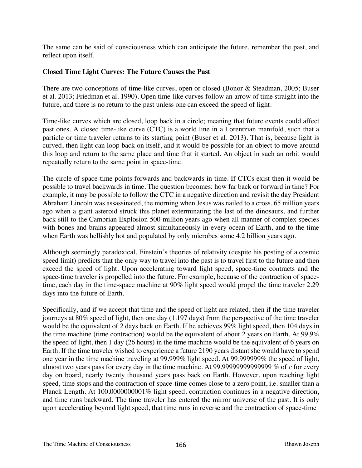The same can be said of consciousness which can anticipate the future, remember the past, and reflect upon itself.

## **Closed Time Light Curves: The Future Causes the Past**

There are two conceptions of time-like curves, open or closed (Bonor & Steadman, 2005; Buser et al. 2013; Friedman et al. 1990). Open time-like curves follow an arrow of time straight into the future, and there is no return to the past unless one can exceed the speed of light.

Time-like curves which are closed, loop back in a circle; meaning that future events could affect past ones. A closed time-like curve (CTC) is a world line in a Lorentzian manifold, such that a particle or time traveler returns to its starting point (Buser et al. 2013). That is, because light is curved, then light can loop back on itself, and it would be possible for an object to move around this loop and return to the same place and time that it started. An object in such an orbit would repeatedly return to the same point in space-time.

The circle of space-time points forwards and backwards in time. If CTCs exist then it would be possible to travel backwards in time. The question becomes: how far back or forward in time? For example, it may be possible to follow the CTC in a negative direction and revisit the day President Abraham Lincoln was assassinated, the morning when Jesus was nailed to a cross, 65 million years ago when a giant asteroid struck this planet exterminating the last of the dinosaurs, and further back still to the Cambrian Explosion 500 million years ago when all manner of complex species with bones and brains appeared almost simultaneously in every ocean of Earth, and to the time when Earth was hellishly hot and populated by only microbes some 4.2 billion years ago.

Although seemingly paradoxical, Einstein's theories of relativity (despite his posting of a cosmic speed limit) predicts that the only way to travel into the past is to travel first to the future and then exceed the speed of light. Upon accelerating toward light speed, space-time contracts and the space-time traveler is propelled into the future. For example, because of the contraction of spacetime, each day in the time-space machine at 90% light speed would propel the time traveler 2.29 days into the future of Earth.

Specifically, and if we accept that time and the speed of light are related, then if the time traveler journeys at 80% speed of light, then one day (1.197 days) from the perspective of the time traveler would be the equivalent of 2 days back on Earth. If he achieves 99% light speed, then 104 days in the time machine (time contraction) would be the equivalent of about 2 years on Earth. At 99.9% the speed of light, then 1 day (26 hours) in the time machine would be the equivalent of 6 years on Earth. If the time traveler wished to experience a future 2190 years distant she would have to spend one year in the time machine traveling at 99.999% light speed. At 99.999999% the speed of light, almost two years pass for every day in the time machine. At 99.99999999999999 % of *c* for every day on board, nearly twenty thousand years pass back on Earth. However, upon reaching light speed, time stops and the contraction of space-time comes close to a zero point, i.e. smaller than a Planck Length. At 100.0000000001% light speed, contraction continues in a negative direction, and time runs backward. The time traveler has entered the mirror universe of the past. It is only upon accelerating beyond light speed, that time runs in reverse and the contraction of space-time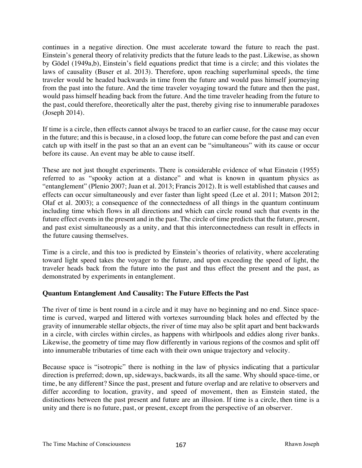continues in a negative direction. One must accelerate toward the future to reach the past. Einstein's general theory of relativity predicts that the future leads to the past. Likewise, as shown by Gödel (1949a,b), Einstein's field equations predict that time is a circle; and this violates the laws of causality (Buser et al. 2013). Therefore, upon reaching superluminal speeds, the time traveler would be headed backwards in time from the future and would pass himself journeying from the past into the future. And the time traveler voyaging toward the future and then the past, would pass himself heading back from the future. And the time traveler heading from the future to the past, could therefore, theoretically alter the past, thereby giving rise to innumerable paradoxes (Joseph 2014).

If time is a circle, then effects cannot always be traced to an earlier cause, for the cause may occur in the future; and this is because, in a closed loop, the future can come before the past and can even catch up with itself in the past so that an an event can be "simultaneous" with its cause or occur before its cause. An event may be able to cause itself.

These are not just thought experiments. There is considerable evidence of what Einstein (1955) referred to as "spooky action at a distance" and what is known in quantum physics as "entanglement" (Plenio 2007; Juan et al. 2013; Francis 2012). It is well established that causes and effects can occur simultaneously and ever faster than light speed (Lee et al. 2011; Matson 2012; Olaf et al. 2003); a consequence of the connectedness of all things in the quantum continuum including time which flows in all directions and which can circle round such that events in the future effect events in the present and in the past. The circle of time predicts that the future, present, and past exist simultaneously as a unity, and that this interconnectedness can result in effects in the future causing themselves.

Time is a circle, and this too is predicted by Einstein's theories of relativity, where accelerating toward light speed takes the voyager to the future, and upon exceeding the speed of light, the traveler heads back from the future into the past and thus effect the present and the past, as demonstrated by experiments in entanglement.

# **Quantum Entanglement And Causality: The Future Effects the Past**

The river of time is bent round in a circle and it may have no beginning and no end. Since spacetime is curved, warped and littered with vortexes surrounding black holes and effected by the gravity of innumerable stellar objects, the river of time may also be split apart and bent backwards in a circle, with circles within circles, as happens with whirlpools and eddies along river banks. Likewise, the geometry of time may flow differently in various regions of the cosmos and split off into innumerable tributaries of time each with their own unique trajectory and velocity.

Because space is "isotropic" there is nothing in the law of physics indicating that a particular direction is preferred; down, up, sideways, backwards, its all the same. Why should space-time, or time, be any different? Since the past, present and future overlap and are relative to observers and differ according to location, gravity, and speed of movement, then as Einstein stated, the distinctions between the past present and future are an illusion. If time is a circle, then time is a unity and there is no future, past, or present, except from the perspective of an observer.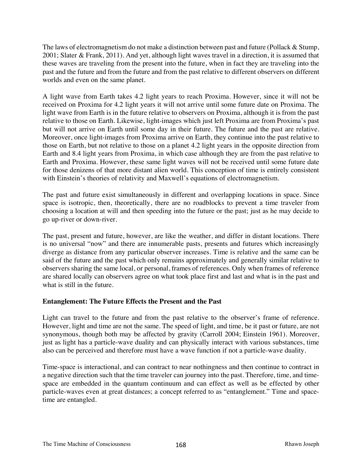The laws of electromagnetism do not make a distinction between past and future (Pollack & Stump, 2001; Slater & Frank, 2011). And yet, although light waves travel in a direction, it is assumed that these waves are traveling from the present into the future, when in fact they are traveling into the past and the future and from the future and from the past relative to different observers on different worlds and even on the same planet.

A light wave from Earth takes 4.2 light years to reach Proxima. However, since it will not be received on Proxima for 4.2 light years it will not arrive until some future date on Proxima. The light wave from Earth is in the future relative to observers on Proxima, although it is from the past relative to those on Earth. Likewise, light-images which just left Proxima are from Proxima's past but will not arrive on Earth until some day in their future. The future and the past are relative. Moreover, once light-images from Proxima arrive on Earth, they continue into the past relative to those on Earth, but not relative to those on a planet 4.2 light years in the opposite direction from Earth and 8.4 light years from Proxima, in which case although they are from the past relative to Earth and Proxima. However, these same light waves will not be received until some future date for those denizens of that more distant alien world. This conception of time is entirely consistent with Einstein's theories of relativity and Maxwell's equations of electromagnetism.

The past and future exist simultaneously in different and overlapping locations in space. Since space is isotropic, then, theoretically, there are no roadblocks to prevent a time traveler from choosing a location at will and then speeding into the future or the past; just as he may decide to go up-river or down-river.

The past, present and future, however, are like the weather, and differ in distant locations. There is no universal "now" and there are innumerable pasts, presents and futures which increasingly diverge as distance from any particular observer increases. Time is relative and the same can be said of the future and the past which only remains approximately and generally similar relative to observers sharing the same local, or personal, frames of references. Only when frames of reference are shared locally can observers agree on what took place first and last and what is in the past and what is still in the future.

# **Entanglement: The Future Effects the Present and the Past**

Light can travel to the future and from the past relative to the observer's frame of reference. However, light and time are not the same. The speed of light, and time, be it past or future, are not synonymous, though both may be affected by gravity (Carroll 2004; Einstein 1961). Moreover, just as light has a particle-wave duality and can physically interact with various substances, time also can be perceived and therefore must have a wave function if not a particle-wave duality.

Time-space is interactional, and can contract to near nothingness and then continue to contract in a negative direction such that the time traveler can journey into the past. Therefore, time, and timespace are embedded in the quantum continuum and can effect as well as be effected by other particle-waves even at great distances; a concept referred to as "entanglement." Time and spacetime are entangled.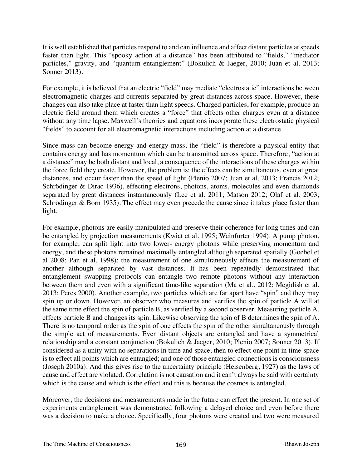It is well established that particles respond to and can influence and affect distant particles at speeds faster than light. This "spooky action at a distance" has been attributed to "fields," "mediator particles," gravity, and "quantum entanglement" (Bokulich & Jaeger, 2010; Juan et al. 2013; Sonner 2013).

For example, it is believed that an electric "field" may mediate "electrostatic" interactions between electromagnetic charges and currents separated by great distances across space. However, these changes can also take place at faster than light speeds. Charged particles, for example, produce an electric field around them which creates a "force" that effects other charges even at a distance without any time lapse. Maxwell's theories and equations incorporate these electrostatic physical "fields" to account for all electromagnetic interactions including action at a distance.

Since mass can become energy and energy mass, the "field" is therefore a physical entity that contains energy and has momentum which can be transmitted across space. Therefore, "action at a distance" may be both distant and local, a consequence of the interactions of these charges within the force field they create. However, the problem is: the effects can be simultaneous, even at great distances, and occur faster than the speed of light (Plenio 2007; Juan et al. 2013; Francis 2012; Schrödinger & Dirac 1936), effecting electrons, photons, atoms, molecules and even diamonds separated by great distances instantaneously (Lee et al. 2011; Matson 2012; Olaf et al. 2003; Schrödinger & Born 1935). The effect may even precede the cause since it takes place faster than light.

For example, photons are easily manipulated and preserve their coherence for long times and can be entangled by projection measurements (Kwiat et al. 1995; Weinfurter 1994). A pump photon, for example, can split light into two lower- energy photons while preserving momentum and energy, and these photons remained maximally entangled although separated spatially (Goebel et al 2008; Pan et al. 1998); the measurement of one simultaneously effects the measurement of another although separated by vast distances. It has been repeatedly demonstrated that entanglement swapping protocols can entangle two remote photons without any interaction between them and even with a significant time-like separation (Ma et al., 2012; Megidish et al. 2013; Peres 2000). Another example, two particles which are far apart have "spin" and they may spin up or down. However, an observer who measures and verifies the spin of particle A will at the same time effect the spin of particle B, as verified by a second observer. Measuring particle A, effects particle B and changes its spin. Likewise observing the spin of B determines the spin of A. There is no temporal order as the spin of one effects the spin of the other simultaneously through the simple act of measurements. Even distant objects are entangled and have a symmetrical relationship and a constant conjunction (Bokulich & Jaeger, 2010; Plenio 2007; Sonner 2013). If considered as a unity with no separations in time and space, then to effect one point in time-space is to effect all points which are entangled; and one of those entangled connections is consciousness (Joseph 2010a). And this gives rise to the uncertainty principle (Heisenberg, 1927) as the laws of cause and effect are violated. Correlation is not causation and it can't always be said with certainty which is the cause and which is the effect and this is because the cosmos is entangled.

Moreover, the decisions and measurements made in the future can effect the present. In one set of experiments entanglement was demonstrated following a delayed choice and even before there was a decision to make a choice. Specifically, four photons were created and two were measured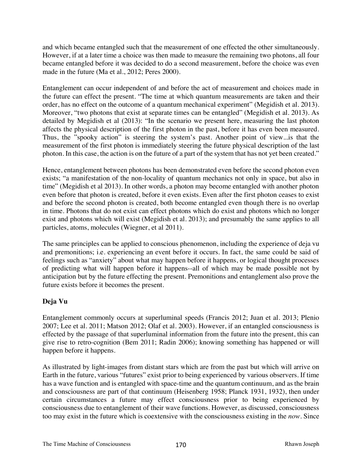and which became entangled such that the measurement of one effected the other simultaneously. However, if at a later time a choice was then made to measure the remaining two photons, all four became entangled before it was decided to do a second measurement, before the choice was even made in the future (Ma et al., 2012; Peres 2000).

Entanglement can occur independent of and before the act of measurement and choices made in the future can effect the present. "The time at which quantum measurements are taken and their order, has no effect on the outcome of a quantum mechanical experiment" (Megidish et al. 2013). Moreover, "two photons that exist at separate times can be entangled" (Megidish et al. 2013). As detailed by Megidish et al (2013): "In the scenario we present here, measuring the last photon affects the physical description of the first photon in the past, before it has even been measured. Thus, the "spooky action" is steering the system's past. Another point of view...is that the measurement of the first photon is immediately steering the future physical description of the last photon. In this case, the action is on the future of a part of the system that has not yet been created."

Hence, entanglement between photons has been demonstrated even before the second photon even exists; "a manifestation of the non-locality of quantum mechanics not only in space, but also in time" (Megidish et al 2013). In other words, a photon may become entangled with another photon even before that photon is created, before it even exists. Even after the first photon ceases to exist and before the second photon is created, both become entangled even though there is no overlap in time. Photons that do not exist can effect photons which do exist and photons which no longer exist and photons which will exist (Megidish et al. 2013); and presumably the same applies to all particles, atoms, molecules (Wiegner, et al 2011).

The same principles can be applied to conscious phenomenon, including the experience of deja vu and premonitions; i.e. experiencing an event before it occurs. In fact, the same could be said of feelings such as "anxiety" about what may happen before it happens, or logical thought processes of predicting what will happen before it happens--all of which may be made possible not by anticipation but by the future effecting the present. Premonitions and entanglement also prove the future exists before it becomes the present.

# **Deja Vu**

Entanglement commonly occurs at superluminal speeds (Francis 2012; Juan et al. 2013; Plenio 2007; Lee et al. 2011; Matson 2012; Olaf et al. 2003). However, if an entangled consciousness is effected by the passage of that superluminal information from the future into the present, this can give rise to retro-cognition (Bem 2011; Radin 2006); knowing something has happened or will happen before it happens.

As illustrated by light-images from distant stars which are from the past but which will arrive on Earth in the future, various "futures" exist prior to being experienced by various observers. If time has a wave function and is entangled with space-time and the quantum continuum, and as the brain and consciousness are part of that continuum (Heisenberg 1958; Planck 1931, 1932), then under certain circumstances a future may effect consciousness prior to being experienced by consciousness due to entanglement of their wave functions. However, as discussed, consciousness too may exist in the future which is coextensive with the consciousness existing in the *now*. Since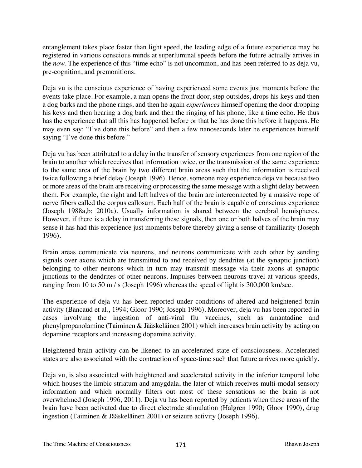entanglement takes place faster than light speed, the leading edge of a future experience may be registered in various conscious minds at superluminal speeds before the future actually arrives in the *now*. The experience of this "time echo" is not uncommon, and has been referred to as deja vu, pre-cognition, and premonitions.

Deja vu is the conscious experience of having experienced some events just moments before the events take place. For example, a man opens the front door, step outsides, drops his keys and then a dog barks and the phone rings, and then he again *experiences* himself opening the door dropping his keys and then hearing a dog bark and then the ringing of his phone; like a time echo. He thus has the experience that all this has happened before or that he has done this before it happens. He may even say: "I've done this before" and then a few nanoseconds later he experiences himself saying "I've done this before."

Deja vu has been attributed to a delay in the transfer of sensory experiences from one region of the brain to another which receives that information twice, or the transmission of the same experience to the same area of the brain by two different brain areas such that the information is received twice following a brief delay (Joseph 1996). Hence, someone may experience deja vu because two or more areas of the brain are receiving or processing the same message with a slight delay between them. For example, the right and left halves of the brain are interconnected by a massive rope of nerve fibers called the corpus callosum. Each half of the brain is capable of conscious experience (Joseph 1988a,b; 2010a). Usually information is shared between the cerebral hemispheres. However, if there is a delay in transferring these signals, then one or both halves of the brain may sense it has had this experience just moments before thereby giving a sense of familiarity (Joseph 1996).

Brain areas communicate via neurons, and neurons communicate with each other by sending signals over axons which are transmitted to and received by dendrites (at the synaptic junction) belonging to other neurons which in turn may transmit message via their axons at synaptic junctions to the dendrites of other neurons. Impulses between neurons travel at various speeds, ranging from 10 to 50 m / s (Joseph 1996) whereas the speed of light is 300,000 km/sec.

The experience of deja vu has been reported under conditions of altered and heightened brain activity (Bancaud et al., 1994; Gloor 1990; Joseph 1996). Moreover, deja vu has been reported in cases involving the ingestion of anti-viral flu vaccines, such as amantadine and phenylpropanolamine (Taiminen & Jääskeläinen 2001) which increases brain activity by acting on dopamine receptors and increasing dopamine activity.

Heightened brain activity can be likened to an accelerated state of consciousness. Accelerated states are also associated with the contraction of space-time such that future arrives more quickly.

Deja vu, is also associated with heightened and accelerated activity in the inferior temporal lobe which houses the limbic striatum and amygdala, the later of which receives multi-modal sensory information and which normally filters out most of these sensations so the brain is not overwhelmed (Joseph 1996, 2011). Deja vu has been reported by patients when these areas of the brain have been activated due to direct electrode stimulation (Halgren 1990; Gloor 1990), drug ingestion (Taiminen & Jääskeläinen 2001) or seizure activity (Joseph 1996).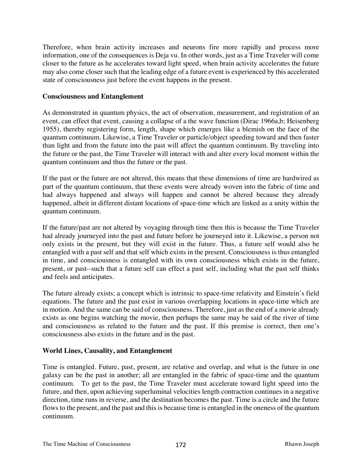Therefore, when brain activity increases and neurons fire more rapidly and process more information, one of the consequences is Deja vu. In other words, just as a Time Traveler will come closer to the future as he accelerates toward light speed, when brain activity accelerates the future may also come closer such that the leading edge of a future event is experienced by this accelerated state of consciousness just before the event happens in the present.

## **Consciousness and Entanglement**

As demonstrated in quantum physics, the act of observation, measurement, and registration of an event, can effect that event, causing a collapse of a the wave function (Dirac 1966a,b; Heisenberg 1955), thereby registering form, length, shape which emerges like a blemish on the face of the quantum continuum. Likewise, a Time Traveler or particle/object speeding toward and then faster than light and from the future into the past will affect the quantum continuum. By traveling into the future or the past, the Time Traveler will interact with and alter every local moment within the quantum continuum and thus the future or the past.

If the past or the future are not altered, this means that these dimensions of time are hardwired as part of the quantum continuum, that these events were already woven into the fabric of time and had always happened and always will happen and cannot be altered because they already happened, albeit in different distant locations of space-time which are linked as a unity within the quantum continuum.

If the future/past are not altered by voyaging through time then this is because the Time Traveler had already journeyed into the past and future before he journeyed into it. Likewise, a person not only exists in the present, but they will exist in the future. Thus, a future self would also be entangled with a past self and that self which exists in the present. Consciousness is thus entangled in time, and consciousness is entangled with its own consciousness which exists in the future, present, or past--such that a future self can effect a past self, including what the past self thinks and feels and anticipates.

The future already exists; a concept which is intrinsic to space-time relativity and Einstein's field equations. The future and the past exist in various overlapping locations in space-time which are in motion. And the same can be said of consciousness. Therefore, just as the end of a movie already exists as one begins watching the movie, then perhaps the same may be said of the river of time and consciousness as related to the future and the past. If this premise is correct, then one's consciousness also exists in the future and in the past.

# **World Lines, Causality, and Entanglement**

Time is entangled. Future, past, present, are relative and overlap, and what is the future in one galaxy can be the past in another; all are entangled in the fabric of space-time and the quantum continuum. To get to the past, the Time Traveler must accelerate toward light speed into the future, and then, upon achieving superluminal velocities length contraction continues in a negative direction, time runs in reverse, and the destination becomes the past. Time is a circle and the future flows to the present, and the past and this is because time is entangled in the oneness of the quantum continuum.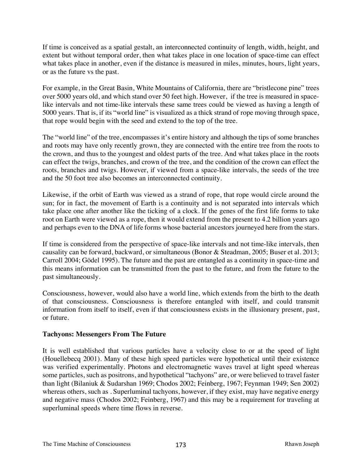If time is conceived as a spatial gestalt, an interconnected continuity of length, width, height, and extent but without temporal order, then what takes place in one location of space-time can effect what takes place in another, even if the distance is measured in miles, minutes, hours, light years, or as the future vs the past.

For example, in the Great Basin, White Mountains of California, there are "bristlecone pine" trees over 5000 years old, and which stand over 50 feet high. However, if the tree is measured in spacelike intervals and not time-like intervals these same trees could be viewed as having a length of 5000 years. That is, if its "world line" is visualized as a thick strand of rope moving through space, that rope would begin with the seed and extend to the top of the tree.

The "world line" of the tree, encompasses it's entire history and although the tips of some branches and roots may have only recently grown, they are connected with the entire tree from the roots to the crown, and thus to the youngest and oldest parts of the tree. And what takes place in the roots can effect the twigs, branches, and crown of the tree, and the condition of the crown can effect the roots, branches and twigs. However, if viewed from a space-like intervals, the seeds of the tree and the 50 foot tree also becomes an interconnected continuity.

Likewise, if the orbit of Earth was viewed as a strand of rope, that rope would circle around the sun; for in fact, the movement of Earth is a continuity and is not separated into intervals which take place one after another like the ticking of a clock. If the genes of the first life forms to take root on Earth were viewed as a rope, then it would extend from the present to 4.2 billion years ago and perhaps even to the DNA of life forms whose bacterial ancestors journeyed here from the stars.

If time is considered from the perspective of space-like intervals and not time-like intervals, then causality can be forward, backward, or simultaneous (Bonor & Steadman, 2005; Buser et al. 2013; Carroll 2004; Gödel 1995). The future and the past are entangled as a continuity in space-time and this means information can be transmitted from the past to the future, and from the future to the past simultaneously.

Consciousness, however, would also have a world line, which extends from the birth to the death of that consciousness. Consciousness is therefore entangled with itself, and could transmit information from itself to itself, even if that consciousness exists in the illusionary present, past, or future.

# **Tachyons: Messengers From The Future**

It is well established that various particles have a velocity close to or at the speed of light (Houellebecq 2001). Many of these high speed particles were hypothetical until their existence was verified experimentally. Photons and electromagnetic waves travel at light speed whereas some particles, such as positrons, and hypothetical "tachyons" are, or were believed to travel faster than light (Bilaniuk & Sudarshan 1969; Chodos 2002; Feinberg, 1967; Feynman 1949; Sen 2002) whereas others, such as . Superluminal tachyons, however, if they exist, may have negative energy and negative mass (Chodos 2002; Feinberg, 1967) and this may be a requirement for traveling at superluminal speeds where time flows in reverse.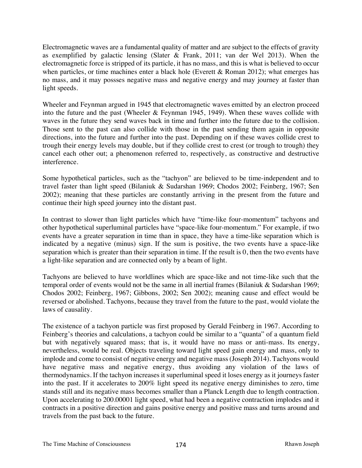Electromagnetic waves are a fundamental quality of matter and are subject to the effects of gravity as exemplified by galactic lensing (Slater & Frank, 2011; van der Wel 2013). When the electromagnetic force is stripped of its particle, it has no mass, and this is what is believed to occur when particles, or time machines enter a black hole (Everett  $\&$  Roman 2012); what emerges has no mass, and it may possses negative mass and negative energy and may journey at faster than light speeds.

Wheeler and Feynman argued in 1945 that electromagnetic waves emitted by an electron proceed into the future and the past (Wheeler & Feynman 1945, 1949). When these waves collide with waves in the future they send waves back in time and further into the future due to the collision. Those sent to the past can also collide with those in the past sending them again in opposite directions, into the future and further into the past. Depending on if these waves collide crest to trough their energy levels may double, but if they collide crest to crest (or trough to trough) they cancel each other out; a phenomenon referred to, respectively, as constructive and destructive interference.

Some hypothetical particles, such as the "tachyon" are believed to be time-independent and to travel faster than light speed (Bilaniuk & Sudarshan 1969; Chodos 2002; Feinberg, 1967; Sen 2002); meaning that these particles are constantly arriving in the present from the future and continue their high speed journey into the distant past.

In contrast to slower than light particles which have "time-like four-momentum" tachyons and other hypothetical superluminal particles have "space-like four-momentum." For example, if two events have a greater separation in time than in space, they have a time-like separation which is indicated by a negative (minus) sign. If the sum is positive, the two events have a space-like separation which is greater than their separation in time. If the result is 0, then the two events have a light-like separation and are connected only by a beam of light.

Tachyons are believed to have worldlines which are space-like and not time-like such that the temporal order of events would not be the same in all inertial frames (Bilaniuk & Sudarshan 1969; Chodos 2002; Feinberg, 1967; Gibbons, 2002; Sen 2002); meaning cause and effect would be reversed or abolished. Tachyons, because they travel from the future to the past, would violate the laws of causality.

The existence of a tachyon particle was first proposed by Gerald Feinberg in 1967. According to Feinberg's theories and calculations, a tachyon could be similar to a "quanta" of a quantum field but with negatively squared mass; that is, it would have no mass or anti-mass. Its energy, nevertheless, would be real. Objects traveling toward light speed gain energy and mass, only to implode and come to consist of negative energy and negative mass (Joseph 2014). Tachyons would have negative mass and negative energy, thus avoiding any violation of the laws of thermodynamics. If the tachyon increases it superluminal speed it loses energy as it journeys faster into the past. If it accelerates to 200% light speed its negative energy diminishes to zero, time stands still and its negative mass becomes smaller than a Planck Length due to length contraction. Upon accelerating to 200.00001 light speed, what had been a negative contraction implodes and it contracts in a positive direction and gains positive energy and positive mass and turns around and travels from the past back to the future.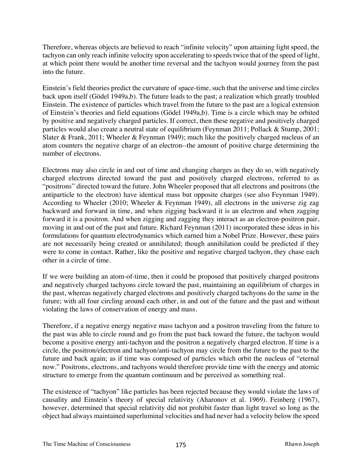Therefore, whereas objects are believed to reach "infinite velocity" upon attaining light speed, the tachyon can only reach infinite velocity upon accelerating to speeds twice that of the speed of light, at which point there would be another time reversal and the tachyon would journey from the past into the future.

Einstein's field theories predict the curvature of space-time, such that the universe and time circles back upon itself (Gödel 1949a,b). The future leads to the past; a realization which greatly troubled Einstein. The existence of particles which travel from the future to the past are a logical extension of Einstein's theories and field equations (Gödel 1949a,b). Time is a circle which may be orbited by positive and negatively charged particles. If correct, then these negative and positively charged particles would also create a neutral state of equilibrium (Feynman 2011; Pollack & Stump, 2001; Slater & Frank, 2011; Wheeler & Feynman 1949); much like the positively charged nucleus of an atom counters the negative charge of an electron--the amount of positive charge determining the number of electrons.

Electrons may also circle in and out of time and changing charges as they do so, with negatively charged electrons directed toward the past and positively charged electrons, referred to as "positrons" directed toward the future. John Wheeler proposed that all electrons and positrons (the antiparticle to the electron) have identical mass but opposite charges (see also Feynman 1949). According to Wheeler (2010; Wheeler & Feynman 1949), all electrons in the universe zig zag backward and forward in time, and when zigging backward it is an electron and when zagging forward it is a positron. And when zigging and zagging they interact as an electron-positron pair, moving in and out of the past and future. Richard Feynman (2011) incorporated these ideas in his formulations for quantum electrodynamics which earned him a Nobel Prize. However, these pairs are not necessarily being created or annihilated; though annihilation could be predicted if they were to come in contact. Rather, like the positive and negative charged tachyon, they chase each other in a circle of time.

If we were building an atom-of-time, then it could be proposed that positively charged positrons and negatively charged tachyons circle toward the past, maintaining an equilibrium of charges in the past, whereas negatively charged electrons and positively charged tachyons do the same in the future; with all four circling around each other, in and out of the future and the past and without violating the laws of conservation of energy and mass.

Therefore, if a negative energy negative mass tachyon and a positron traveling from the future to the past was able to circle round and go from the past back toward the future, the tachyon would become a positive energy anti-tachyon and the positron a negatively charged electron. If time is a circle, the positron/electron and tachyon/anti-tachyon may circle from the future to the past to the future and back again; as if time was composed of particles which orbit the nucleus of "eternal now." Positrons, electrons, and tachyons would therefore provide time with the energy and atomic structure to emerge from the quantum continuum and be perceived as something real.

The existence of "tachyon" like particles has been rejected because they would violate the laws of causality and Einstein's theory of special relativity (Aharonov et al. 1969). Feinberg (1967), however, determined that special relativity did not prohibit faster than light travel so long as the object had always maintained superluminal velocities and had never had a velocity below the speed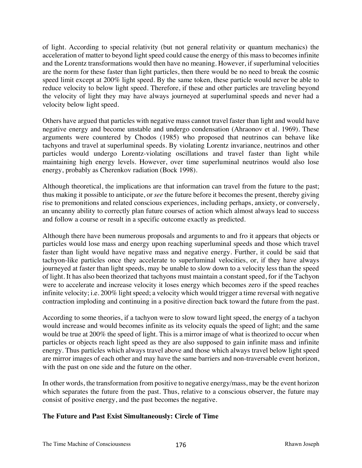of light. According to special relativity (but not general relativity or quantum mechanics) the acceleration of matter to beyond light speed could cause the energy of this mass to becomes infinite and the Lorentz transformations would then have no meaning. However, if superluminal velocities are the norm for these faster than light particles, then there would be no need to break the cosmic speed limit except at 200% light speed. By the same token, these particle would never be able to reduce velocity to below light speed. Therefore, if these and other particles are traveling beyond the velocity of light they may have always journeyed at superluminal speeds and never had a velocity below light speed.

Others have argued that particles with negative mass cannot travel faster than light and would have negative energy and become unstable and undergo condensation (Ahraonov et al. 1969). These arguments were countered by Chodos (1985) who proposed that neutrinos can behave like tachyons and travel at superluminal speeds. By violating Lorentz invariance, neutrinos and other particles would undergo Lorentz-violating oscillations and travel faster than light while maintaining high energy levels. However, over time superluminal neutrinos would also lose energy, probably as Cherenkov radiation (Bock 1998).

Although theoretical, the implications are that information can travel from the future to the past; thus making it possible to anticipate, or *see* the future before it becomes the present, thereby giving rise to premonitions and related conscious experiences, including perhaps, anxiety, or conversely, an uncanny ability to correctly plan future courses of action which almost always lead to success and follow a course or result in a specific outcome exactly as predicted.

Although there have been numerous proposals and arguments to and fro it appears that objects or particles would lose mass and energy upon reaching superluminal speeds and those which travel faster than light would have negative mass and negative energy. Further, it could be said that tachyon-like particles once they accelerate to superluminal velocities, or, if they have always journeyed at faster than light speeds, may be unable to slow down to a velocity less than the speed of light. It has also been theorized that tachyons must maintain a constant speed, for if the Tachyon were to accelerate and increase velocity it loses energy which becomes zero if the speed reaches infinite velocity; i.e. 200% light speed; a velocity which would trigger a time reversal with negative contraction imploding and continuing in a positive direction back toward the future from the past.

According to some theories, if a tachyon were to slow toward light speed, the energy of a tachyon would increase and would becomes infinite as its velocity equals the speed of light; and the same would be true at 200% the speed of light. This is a mirror image of what is theorized to occur when particles or objects reach light speed as they are also supposed to gain infinite mass and infinite energy. Thus particles which always travel above and those which always travel below light speed are mirror images of each other and may have the same barriers and non-traversable event horizon, with the past on one side and the future on the other.

In other words, the transformation from positive to negative energy/mass, may be the event horizon which separates the future from the past. Thus, relative to a conscious observer, the future may consist of positive energy, and the past becomes the negative.

# **The Future and Past Exist Simultaneously: Circle of Time**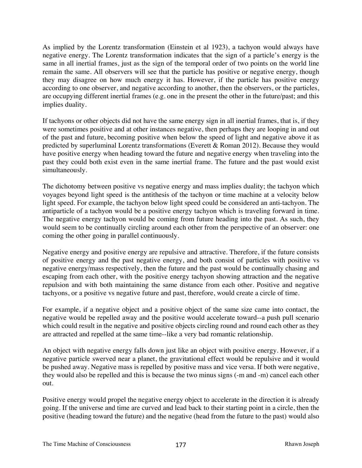As implied by the Lorentz transformation (Einstein et al 1923), a tachyon would always have negative energy. The Lorentz transformation indicates that the sign of a particle's energy is the same in all inertial frames, just as the sign of the temporal order of two points on the world line remain the same. All observers will see that the particle has positive or negative energy, though they may disagree on how much energy it has. However, if the particle has positive energy according to one observer, and negative according to another, then the observers, or the particles, are occupying different inertial frames (e.g. one in the present the other in the future/past; and this implies duality.

If tachyons or other objects did not have the same energy sign in all inertial frames, that is, if they were sometimes positive and at other instances negative, then perhaps they are looping in and out of the past and future, becoming positive when below the speed of light and negative above it as predicted by superluminal Lorentz transformations (Everett & Roman 2012). Because they would have positive energy when heading toward the future and negative energy when traveling into the past they could both exist even in the same inertial frame. The future and the past would exist simultaneously.

The dichotomy between positive vs negative energy and mass implies duality; the tachyon which voyages beyond light speed is the antithesis of the tachyon or time machine at a velocity below light speed. For example, the tachyon below light speed could be considered an anti-tachyon. The antiparticle of a tachyon would be a positive energy tachyon which is traveling forward in time. The negative energy tachyon would be coming from future heading into the past. As such, they would seem to be continually circling around each other from the perspective of an observer: one coming the other going in parallel continuously.

Negative energy and positive energy are repulsive and attractive. Therefore, if the future consists of positive energy and the past negative energy, and both consist of particles with positive vs negative energy/mass respectively, then the future and the past would be continually chasing and escaping from each other, with the positive energy tachyon showing attraction and the negative repulsion and with both maintaining the same distance from each other. Positive and negative tachyons, or a positive vs negative future and past, therefore, would create a circle of time.

For example, if a negative object and a positive object of the same size came into contact, the negative would be repelled away and the positive would accelerate toward--a push pull scenario which could result in the negative and positive objects circling round and round each other as they are attracted and repelled at the same time--like a very bad romantic relationship.

An object with negative energy falls down just like an object with positive energy. However, if a negative particle swerved near a planet, the gravitational effect would be repulsive and it would be pushed away. Negative mass is repelled by positive mass and vice versa. If both were negative, they would also be repelled and this is because the two minus signs (-m and -m) cancel each other out.

Positive energy would propel the negative energy object to accelerate in the direction it is already going. If the universe and time are curved and lead back to their starting point in a circle, then the positive (heading toward the future) and the negative (head from the future to the past) would also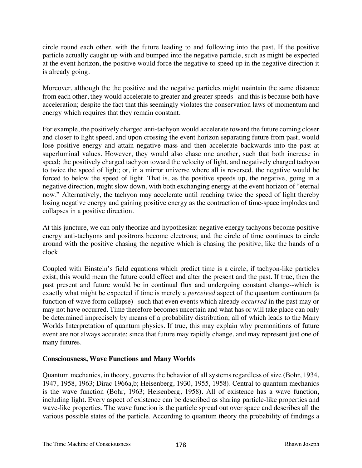circle round each other, with the future leading to and following into the past. If the positive particle actually caught up with and bumped into the negative particle, such as might be expected at the event horizon, the positive would force the negative to speed up in the negative direction it is already going.

Moreover, although the the positive and the negative particles might maintain the same distance from each other, they would accelerate to greater and greater speeds--and this is because both have acceleration; despite the fact that this seemingly violates the conservation laws of momentum and energy which requires that they remain constant.

For example, the positively charged anti-tachyon would accelerate toward the future coming closer and closer to light speed, and upon crossing the event horizon separating future from past, would lose positive energy and attain negative mass and then accelerate backwards into the past at superluminal values. However, they would also chase one another, such that both increase in speed; the positively charged tachyon toward the velocity of light, and negatively charged tachyon to twice the speed of light; or, in a mirror universe where all is reversed, the negative would be forced to below the speed of light. That is, as the positive speeds up, the negative, going in a negative direction, might slow down, with both exchanging energy at the event horizon of "eternal now." Alternatively, the tachyon may accelerate until reaching twice the speed of light thereby losing negative energy and gaining positive energy as the contraction of time-space implodes and collapses in a positive direction.

At this juncture, we can only theorize and hypothesize: negative energy tachyons become positive energy anti-tachyons and positrons become electrons; and the circle of time continues to circle around with the positive chasing the negative which is chasing the positive, like the hands of a clock.

Coupled with Einstein's field equations which predict time is a circle, if tachyon-like particles exist, this would mean the future could effect and alter the present and the past. If true, then the past present and future would be in continual flux and undergoing constant change--which is exactly what might be expected if time is merely a *perceived* aspect of the quantum continuum (a function of wave form collapse)--such that even events which already *occurred* in the past may or may not have occurred. Time therefore becomes uncertain and what has or will take place can only be determined imprecisely by means of a probability distribution; all of which leads to the Many Worlds Interpretation of quantum physics. If true, this may explain why premonitions of future event are not always accurate; since that future may rapidly change, and may represent just one of many futures.

# **Consciousness, Wave Functions and Many Worlds**

Quantum mechanics, in theory, governs the behavior of all systems regardless of size (Bohr, 1934, 1947, 1958, 1963; Dirac 1966a,b; Heisenberg, 1930, 1955, 1958). Central to quantum mechanics is the wave function (Bohr, 1963; Heisenberg, 1958). All of existence has a wave function, including light. Every aspect of existence can be described as sharing particle-like properties and wave-like properties. The wave function is the particle spread out over space and describes all the various possible states of the particle. According to quantum theory the probability of findings a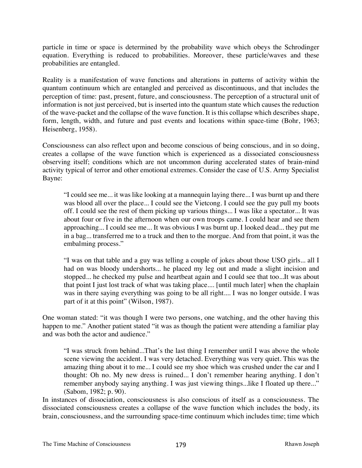particle in time or space is determined by the probability wave which obeys the Schrodinger equation. Everything is reduced to probabilities. Moreover, these particle/waves and these probabilities are entangled.

Reality is a manifestation of wave functions and alterations in patterns of activity within the quantum continuum which are entangled and perceived as discontinuous, and that includes the perception of time: past, present, future, and consciousness. The perception of a structural unit of information is not just perceived, but is inserted into the quantum state which causes the reduction of the wave-packet and the collapse of the wave function. It is this collapse which describes shape, form, length, width, and future and past events and locations within space-time (Bohr, 1963; Heisenberg, 1958).

Consciousness can also reflect upon and become conscious of being conscious, and in so doing, creates a collapse of the wave function which is experienced as a dissociated consciousness observing itself; conditions which are not uncommon during accelerated states of brain-mind activity typical of terror and other emotional extremes. Consider the case of U.S. Army Specialist Bayne:

"I could see me... it was like looking at a mannequin laying there... I was burnt up and there was blood all over the place... I could see the Vietcong. I could see the guy pull my boots off. I could see the rest of them picking up various things... I was like a spectator... It was about four or five in the afternoon when our own troops came. I could hear and see them approaching... I could see me... It was obvious I was burnt up. I looked dead... they put me in a bag... transferred me to a truck and then to the morgue. And from that point, it was the embalming process."

"I was on that table and a guy was telling a couple of jokes about those USO girls... all I had on was bloody undershorts... he placed my leg out and made a slight incision and stopped... he checked my pulse and heartbeat again and I could see that too...It was about that point I just lost track of what was taking place.... [until much later] when the chaplain was in there saying everything was going to be all right.... I was no longer outside. I was part of it at this point" (Wilson, 1987).

One woman stated: "it was though I were two persons, one watching, and the other having this happen to me." Another patient stated "it was as though the patient were attending a familiar play and was both the actor and audience."

"I was struck from behind...That's the last thing I remember until I was above the whole scene viewing the accident. I was very detached. Everything was very quiet. This was the amazing thing about it to me... I could see my shoe which was crushed under the car and I thought: Oh no. My new dress is ruined... I don't remember hearing anything. I don't remember anybody saying anything. I was just viewing things...like I floated up there..." (Sabom, 1982; p. 90).

In instances of dissociation, consciousness is also conscious of itself as a consciousness. The dissociated consciousness creates a collapse of the wave function which includes the body, its brain, consciousness, and the surrounding space-time continuum which includes time; time which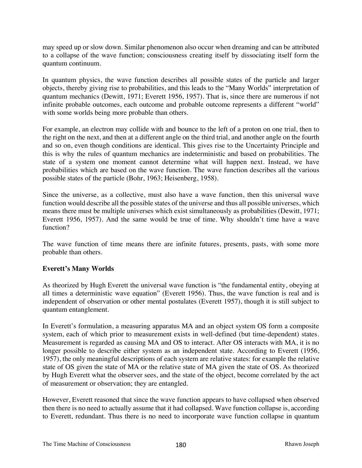may speed up or slow down. Similar phenomenon also occur when dreaming and can be attributed to a collapse of the wave function; consciousness creating itself by dissociating itself form the quantum continuum.

In quantum physics, the wave function describes all possible states of the particle and larger objects, thereby giving rise to probabilities, and this leads to the "Many Worlds" interpretation of quantum mechanics (Dewitt, 1971; Everett 1956, 1957). That is, since there are numerous if not infinite probable outcomes, each outcome and probable outcome represents a different "world" with some worlds being more probable than others.

For example, an electron may collide with and bounce to the left of a proton on one trial, then to the right on the next, and then at a different angle on the third trial, and another angle on the fourth and so on, even though conditions are identical. This gives rise to the Uncertainty Principle and this is why the rules of quantum mechanics are indeterministic and based on probabilities. The state of a system one moment cannot determine what will happen next. Instead, we have probabilities which are based on the wave function. The wave function describes all the various possible states of the particle (Bohr, 1963; Heisenberg, 1958).

Since the universe, as a collective, must also have a wave function, then this universal wave function would describe all the possible states of the universe and thus all possible universes, which means there must be multiple universes which exist simultaneously as probabilities (Dewitt, 1971; Everett 1956, 1957). And the same would be true of time. Why shouldn't time have a wave function?

The wave function of time means there are infinite futures, presents, pasts, with some more probable than others.

# **Everett's Many Worlds**

As theorized by Hugh Everett the universal wave function is "the fundamental entity, obeying at all times a deterministic wave equation" (Everett 1956). Thus, the wave function is real and is independent of observation or other mental postulates (Everett 1957), though it is still subject to quantum entanglement.

In Everett's formulation, a measuring apparatus MA and an object system OS form a composite system, each of which prior to measurement exists in well-defined (but time-dependent) states. Measurement is regarded as causing MA and OS to interact. After OS interacts with MA, it is no longer possible to describe either system as an independent state. According to Everett (1956, 1957), the only meaningful descriptions of each system are relative states: for example the relative state of OS given the state of MA or the relative state of MA given the state of OS. As theorized by Hugh Everett what the observer sees, and the state of the object, become correlated by the act of measurement or observation; they are entangled.

However, Everett reasoned that since the wave function appears to have collapsed when observed then there is no need to actually assume that it had collapsed. Wave function collapse is, according to Everett, redundant. Thus there is no need to incorporate wave function collapse in quantum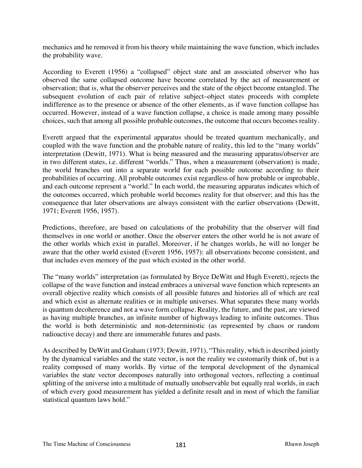mechanics and he removed it from his theory while maintaining the wave function, which includes the probability wave.

According to Everett (1956) a "collapsed" object state and an associated observer who has observed the same collapsed outcome have become correlated by the act of measurement or observation; that is, what the observer perceives and the state of the object become entangled. The subsequent evolution of each pair of relative subject–object states proceeds with complete indifference as to the presence or absence of the other elements, as if wave function collapse has occurred. However, instead of a wave function collapse, a choice is made among many possible choices, such that among all possible probable outcomes, the outcome that occurs becomes reality.

Everett argued that the experimental apparatus should be treated quantum mechanically, and coupled with the wave function and the probable nature of reality, this led to the "many worlds" interpretation (Dewitt, 1971). What is being measured and the measuring apparatus/observer are in two different states, i.e. different "worlds." Thus, when a measurement (observation) is made, the world branches out into a separate world for each possible outcome according to their probabilities of occurring. All probable outcomes exist regardless of how probable or improbable, and each outcome represent a "world." In each world, the measuring apparatus indicates which of the outcomes occurred, which probable world becomes reality for that observer; and this has the consequence that later observations are always consistent with the earlier observations (Dewitt, 1971; Everett 1956, 1957).

Predictions, therefore, are based on calculations of the probability that the observer will find themselves in one world or another. Once the observer enters the other world he is not aware of the other worlds which exist in parallel. Moreover, if he changes worlds, he will no longer be aware that the other world existed (Everett 1956, 1957): all observations become consistent, and that includes even memory of the past which existed in the other world.

The "many worlds" interpretation (as formulated by Bryce DeWitt and Hugh Everett), rejects the collapse of the wave function and instead embraces a universal wave function which represents an overall objective reality which consists of all possible futures and histories all of which are real and which exist as alternate realities or in multiple universes. What separates these many worlds is quantum decoherence and not a wave form collapse. Reality, the future, and the past, are viewed as having multiple branches, an infinite number of highways leading to infinite outcomes. Thus the world is both deterministic and non-deterministic (as represented by chaos or random radioactive decay) and there are innumerable futures and pasts.

As described by DeWitt and Graham (1973; Dewitt, 1971), "This reality, which is described jointly by the dynamical variables and the state vector, is not the reality we customarily think of, but is a reality composed of many worlds. By virtue of the temporal development of the dynamical variables the state vector decomposes naturally into orthogonal vectors, reflecting a continual splitting of the universe into a multitude of mutually unobservable but equally real worlds, in each of which every good measurement has yielded a definite result and in most of which the familiar statistical quantum laws hold."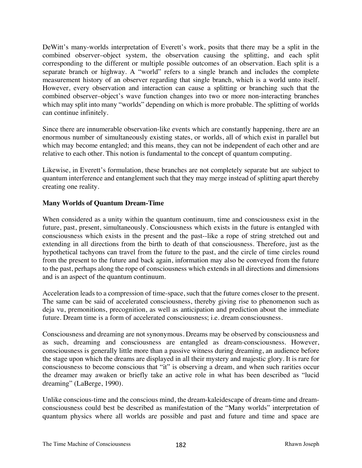DeWitt's many-worlds interpretation of Everett's work, posits that there may be a split in the combined observer–object system, the observation causing the splitting, and each split corresponding to the different or multiple possible outcomes of an observation. Each split is a separate branch or highway. A "world" refers to a single branch and includes the complete measurement history of an observer regarding that single branch, which is a world unto itself. However, every observation and interaction can cause a splitting or branching such that the combined observer–object's wave function changes into two or more non-interacting branches which may split into many "worlds" depending on which is more probable. The splitting of worlds can continue infinitely.

Since there are innumerable observation-like events which are constantly happening, there are an enormous number of simultaneously existing states, or worlds, all of which exist in parallel but which may become entangled; and this means, they can not be independent of each other and are relative to each other. This notion is fundamental to the concept of quantum computing.

Likewise, in Everett's formulation, these branches are not completely separate but are subject to quantum interference and entanglement such that they may merge instead of splitting apart thereby creating one reality.

# **Many Worlds of Quantum Dream-Time**

When considered as a unity within the quantum continuum, time and consciousness exist in the future, past, present, simultaneously. Consciousness which exists in the future is entangled with consciousness which exists in the present and the past--like a rope of string stretched out and extending in all directions from the birth to death of that consciousness. Therefore, just as the hypothetical tachyons can travel from the future to the past, and the circle of time circles round from the present to the future and back again, information may also be conveyed from the future to the past, perhaps along the rope of consciousness which extends in all directions and dimensions and is an aspect of the quantum continuum.

Acceleration leads to a compression of time-space, such that the future comes closer to the present. The same can be said of accelerated consciousness, thereby giving rise to phenomenon such as deja vu, premonitions, precognition, as well as anticipation and prediction about the immediate future. Dream time is a form of accelerated consciousness; i.e. dream consciousness.

Consciousness and dreaming are not synonymous. Dreams may be observed by consciousness and as such, dreaming and consciousness are entangled as dream-consciousness. However, consciousness is generally little more than a passive witness during dreaming, an audience before the stage upon which the dreams are displayed in all their mystery and majestic glory. It is rare for consciousness to become conscious that "it" is observing a dream, and when such rarities occur the dreamer may awaken or briefly take an active role in what has been described as "lucid dreaming" (LaBerge, 1990).

Unlike conscious-time and the conscious mind, the dream-kaleidescape of dream-time and dreamconsciousness could best be described as manifestation of the "Many worlds" interpretation of quantum physics where all worlds are possible and past and future and time and space are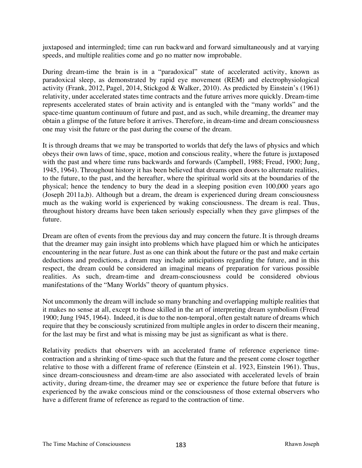juxtaposed and intermingled; time can run backward and forward simultaneously and at varying speeds, and multiple realities come and go no matter now improbable.

During dream-time the brain is in a "paradoxical" state of accelerated activity, known as paradoxical sleep, as demonstrated by rapid eye movement (REM) and electrophysiological activity (Frank, 2012, Pagel, 2014, Stickgod & Walker, 2010). As predicted by Einstein's (1961) relativity, under accelerated states time contracts and the future arrives more quickly. Dream-time represents accelerated states of brain activity and is entangled with the "many worlds" and the space-time quantum continuum of future and past, and as such, while dreaming, the dreamer may obtain a glimpse of the future before it arrives. Therefore, in dream-time and dream consciousness one may visit the future or the past during the course of the dream.

It is through dreams that we may be transported to worlds that defy the laws of physics and which obeys their own laws of time, space, motion and conscious reality, where the future is juxtaposed with the past and where time runs backwards and forwards (Campbell, 1988; Freud, 1900; Jung, 1945, 1964). Throughout history it has been believed that dreams open doors to alternate realities, to the future, to the past, and the hereafter, where the spiritual world sits at the boundaries of the physical; hence the tendency to bury the dead in a sleeping position even 100,000 years ago (Joseph 2011a,b). Although but a dream, the dream is experienced during dream consciousness much as the waking world is experienced by waking consciousness. The dream is real. Thus, throughout history dreams have been taken seriously especially when they gave glimpses of the future.

Dream are often of events from the previous day and may concern the future. It is through dreams that the dreamer may gain insight into problems which have plagued him or which he anticipates encountering in the near future. Just as one can think about the future or the past and make certain deductions and predictions, a dream may include anticipations regarding the future, and in this respect, the dream could be considered an imaginal means of preparation for various possible realities. As such, dream-time and dream-consciousness could be considered obvious manifestations of the "Many Worlds" theory of quantum physics.

Not uncommonly the dream will include so many branching and overlapping multiple realities that it makes no sense at all, except to those skilled in the art of interpreting dream symbolism (Freud 1900; Jung 1945, 1964). Indeed, it is due to the non-temporal, often gestalt nature of dreams which require that they be consciously scrutinized from multiple angles in order to discern their meaning, for the last may be first and what is missing may be just as significant as what is there.

Relativity predicts that observers with an accelerated frame of reference experience timecontraction and a shrinking of time-space such that the future and the present come closer together relative to those with a different frame of reference (Einstein et al. 1923, Einstein 1961). Thus, since dream-consciousness and dream-time are also associated with accelerated levels of brain activity, during dream-time, the dreamer may see or experience the future before that future is experienced by the awake conscious mind or the consciousness of those external observers who have a different frame of reference as regard to the contraction of time.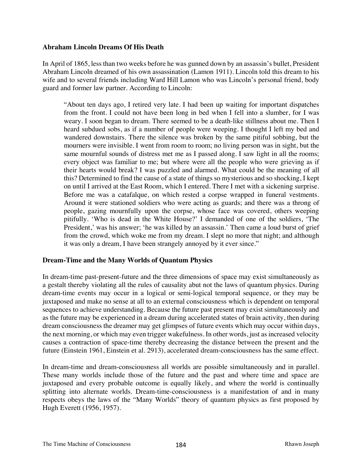## **Abraham Lincoln Dreams Of His Death**

In April of 1865, less than two weeks before he was gunned down by an assassin's bullet, President Abraham Lincoln dreamed of his own assassination (Lamon 1911). Lincoln told this dream to his wife and to several friends including Ward Hill Lamon who was Lincoln's personal friend, body guard and former law partner. According to Lincoln:

"About ten days ago, I retired very late. I had been up waiting for important dispatches from the front. I could not have been long in bed when I fell into a slumber, for I was weary. I soon began to dream. There seemed to be a death-like stillness about me. Then I heard subdued sobs, as if a number of people were weeping. I thought I left my bed and wandered downstairs. There the silence was broken by the same pitiful sobbing, but the mourners were invisible. I went from room to room; no living person was in sight, but the same mournful sounds of distress met me as I passed along. I saw light in all the rooms; every object was familiar to me; but where were all the people who were grieving as if their hearts would break? I was puzzled and alarmed. What could be the meaning of all this? Determined to find the cause of a state of things so mysterious and so shocking, I kept on until I arrived at the East Room, which I entered. There I met with a sickening surprise. Before me was a catafalque, on which rested a corpse wrapped in funeral vestments. Around it were stationed soldiers who were acting as guards; and there was a throng of people, gazing mournfully upon the corpse, whose face was covered, others weeping pitifully. 'Who is dead in the White House?' I demanded of one of the soldiers, 'The President,' was his answer; 'he was killed by an assassin.' Then came a loud burst of grief from the crowd, which woke me from my dream. I slept no more that night; and although it was only a dream, I have been strangely annoyed by it ever since."

# **Dream-Time and the Many Worlds of Quantum Physics**

In dream-time past-present-future and the three dimensions of space may exist simultaneously as a gestalt thereby violating all the rules of causality abut not the laws of quantum physics. During dream-time events may occur in a logical or semi-logical temporal sequence, or they may be juxtaposed and make no sense at all to an external consciousness which is dependent on temporal sequences to achieve understanding. Because the future past present may exist simultaneously and as the future may be experienced in a dream during accelerated states of brain activity, then during dream consciousness the dreamer may get glimpses of future events which may occur within days, the next morning, or which may even trigger wakefulness. In other words, just as increased velocity causes a contraction of space-time thereby decreasing the distance between the present and the future (Einstein 1961, Einstein et al. 2913), accelerated dream-consciousness has the same effect.

In dream-time and dream-consciousness all worlds are possible simultaneously and in parallel. These many worlds include those of the future and the past and where time and space are juxtaposed and every probable outcome is equally likely, and where the world is continually splitting into alternate worlds. Dream-time-consciousness is a manifestation of and in many respects obeys the laws of the "Many Worlds" theory of quantum physics as first proposed by Hugh Everett (1956, 1957).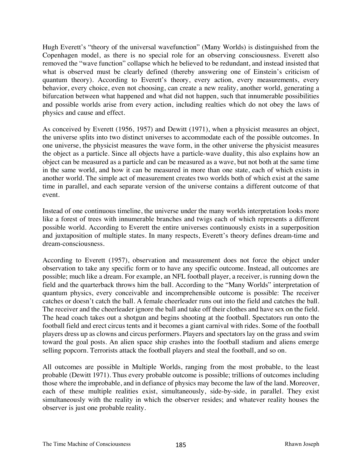Hugh Everett's "theory of the universal wavefunction" (Many Worlds) is distinguished from the Copenhagen model, as there is no special role for an observing consciousness. Everett also removed the "wave function" collapse which he believed to be redundant, and instead insisted that what is observed must be clearly defined (thereby answering one of Einstein's criticism of quantum theory). According to Everett's theory, every action, every measurements, every behavior, every choice, even not choosing, can create a new reality, another world, generating a bifurcation between what happened and what did not happen, such that innumerable possibilities and possible worlds arise from every action, including realties which do not obey the laws of physics and cause and effect.

As conceived by Everett (1956, 1957) and Dewitt (1971), when a physicist measures an object, the universe splits into two distinct universes to accommodate each of the possible outcomes. In one universe, the physicist measures the wave form, in the other universe the physicist measures the object as a particle. Since all objects have a particle-wave duality, this also explains how an object can be measured as a particle and can be measured as a wave, but not both at the same time in the same world, and how it can be measured in more than one state, each of which exists in another world. The simple act of measurement creates two worlds both of which exist at the same time in parallel, and each separate version of the universe contains a different outcome of that event.

Instead of one continuous timeline, the universe under the many worlds interpretation looks more like a forest of trees with innumerable branches and twigs each of which represents a different possible world. According to Everett the entire universes continuously exists in a superposition and juxtaposition of multiple states. In many respects, Everett's theory defines dream-time and dream-consciousness.

According to Everett (1957), observation and measurement does not force the object under observation to take any specific form or to have any specific outcome. Instead, all outcomes are possible; much like a dream. For example, an NFL football player, a receiver, is running down the field and the quarterback throws him the ball. According to the "Many Worlds" interpretation of quantum physics, every conceivable and incomprehensible outcome is possible: The receiver catches or doesn't catch the ball. A female cheerleader runs out into the field and catches the ball. The receiver and the cheerleader ignore the ball and take off their clothes and have sex on the field. The head coach takes out a shotgun and begins shooting at the football. Spectators run onto the football field and erect circus tents and it becomes a giant carnival with rides. Some of the football players dress up as clowns and circus performers. Players and spectators lay on the grass and swim toward the goal posts. An alien space ship crashes into the football stadium and aliens emerge selling popcorn. Terrorists attack the football players and steal the football, and so on.

All outcomes are possible in Multiple Worlds, ranging from the most probable, to the least probable (Dewitt 1971). Thus every probable outcome is possible; trillions of outcomes including those where the improbable, and in defiance of physics may become the law of the land. Moreover, each of these multiple realities exist, simultaneously, side-by-side, in parallel. They exist simultaneously with the reality in which the observer resides; and whatever reality houses the observer is just one probable reality.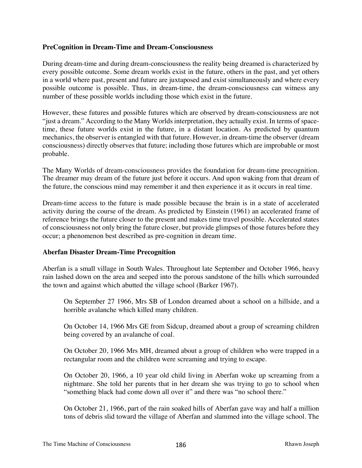#### **PreCognition in Dream-Time and Dream-Consciousness**

During dream-time and during dream-consciousness the reality being dreamed is characterized by every possible outcome. Some dream worlds exist in the future, others in the past, and yet others in a world where past, present and future are juxtaposed and exist simultaneously and where every possible outcome is possible. Thus, in dream-time, the dream-consciousness can witness any number of these possible worlds including those which exist in the future.

However, these futures and possible futures which are observed by dream-consciousness are not "just a dream." According to the Many Worlds interpretation, they actually exist. In terms of spacetime, these future worlds exist in the future, in a distant location. As predicted by quantum mechanics, the observer is entangled with that future. However, in dream-time the observer (dream consciousness) directly observes that future; including those futures which are improbable or most probable.

The Many Worlds of dream-consciousness provides the foundation for dream-time precognition. The dreamer may dream of the future just before it occurs. And upon waking from that dream of the future, the conscious mind may remember it and then experience it as it occurs in real time.

Dream-time access to the future is made possible because the brain is in a state of accelerated activity during the course of the dream. As predicted by Einstein (1961) an accelerated frame of reference brings the future closer to the present and makes time travel possible. Accelerated states of consciousness not only bring the future closer, but provide glimpses of those futures before they occur; a phenomenon best described as pre-cognition in dream time.

#### **Aberfan Disaster Dream-Time Precognition**

Aberfan is a small village in South Wales. Throughout late September and October 1966, heavy rain lashed down on the area and seeped into the porous sandstone of the hills which surrounded the town and against which abutted the village school (Barker 1967).

On September 27 1966, Mrs SB of London dreamed about a school on a hillside, and a horrible avalanche which killed many children.

On October 14, 1966 Mrs GE from Sidcup, dreamed about a group of screaming children being covered by an avalanche of coal.

On October 20, 1966 Mrs MH, dreamed about a group of children who were trapped in a rectangular room and the children were screaming and trying to escape.

On October 20, 1966, a 10 year old child living in Aberfan woke up screaming from a nightmare. She told her parents that in her dream she was trying to go to school when "something black had come down all over it" and there was "no school there."

On October 21, 1966, part of the rain soaked hills of Aberfan gave way and half a million tons of debris slid toward the village of Aberfan and slammed into the village school. The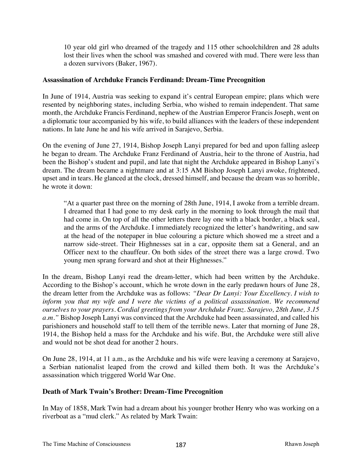10 year old girl who dreamed of the tragedy and 115 other schoolchildren and 28 adults lost their lives when the school was smashed and covered with mud. There were less than a dozen survivors (Baker, 1967).

## **Assassination of Archduke Francis Ferdinand: Dream-Time Precognition**

In June of 1914, Austria was seeking to expand it's central European empire; plans which were resented by neighboring states, including Serbia, who wished to remain independent. That same month, the Archduke Francis Ferdinand, nephew of the Austrian Emperor Francis Joseph, went on a diplomatic tour accompanied by his wife, to build alliances with the leaders of these independent nations. In late June he and his wife arrived in Sarajevo, Serbia.

On the evening of June 27, 1914, Bishop Joseph Lanyi prepared for bed and upon falling asleep he began to dream. The Archduke Franz Ferdinand of Austria, heir to the throne of Austria, had been the Bishop's student and pupil, and late that night the Archduke appeared in Bishop Lanyi's dream. The dream became a nightmare and at 3:15 AM Bishop Joseph Lanyi awoke, frightened, upset and in tears. He glanced at the clock, dressed himself, and because the dream was so horrible, he wrote it down:

"At a quarter past three on the morning of 28th June, 1914, I awoke from a terrible dream. I dreamed that I had gone to my desk early in the morning to look through the mail that had come in. On top of all the other letters there lay one with a black border, a black seal, and the arms of the Archduke. I immediately recognized the letter's handwriting, and saw at the head of the notepaper in blue colouring a picture which showed me a street and a narrow side-street. Their Highnesses sat in a car, opposite them sat a General, and an Officer next to the chauffeur. On both sides of the street there was a large crowd. Two young men sprang forward and shot at their Highnesses."

In the dream, Bishop Lanyi read the dream-letter, which had been written by the Archduke. According to the Bishop's account, which he wrote down in the early predawn hours of June 28, the dream letter from the Archduke was as follows: *"Dear Dr Lanyi: Your Excellency. I wish to inform you that my wife and I were the victims of a political assassination. We recommend ourselves to your prayers. Cordial greetings from your Archduke Franz. Sarajevo, 28th June, 3.15 a.m."* Bishop Joseph Lanyi was convinced that the Archduke had been assassinated, and called his parishioners and household staff to tell them of the terrible news. Later that morning of June 28, 1914, the Bishop held a mass for the Archduke and his wife. But, the Archduke were still alive and would not be shot dead for another 2 hours.

On June 28, 1914, at 11 a.m., as the Archduke and his wife were leaving a ceremony at Sarajevo, a Serbian nationalist leaped from the crowd and killed them both. It was the Archduke's assassination which triggered World War One.

#### **Death of Mark Twain's Brother: Dream-Time Precognition**

In May of 1858, Mark Twin had a dream about his younger brother Henry who was working on a riverboat as a "mud clerk." As related by Mark Twain: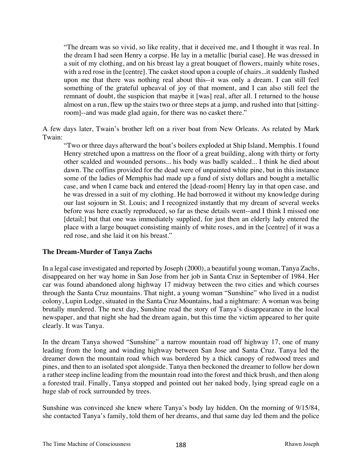"The dream was so vivid, so like reality, that it deceived me, and I thought it was real. In the dream I had seen Henry a corpse. He lay in a metallic [burial case]. He was dressed in a suit of my clothing, and on his breast lay a great bouquet of flowers, mainly white roses, with a red rose in the [centre]. The casket stood upon a couple of chairs...it suddenly flashed upon me that there was nothing real about this--it was only a dream. I can still feel something of the grateful upheaval of joy of that moment, and I can also still feel the remnant of doubt, the suspicion that maybe it [was] real, after all. I returned to the house almost on a run, flew up the stairs two or three steps at a jump, and rushed into that [sittingroom]--and was made glad again, for there was no casket there."

A few days later, Twain's brother left on a river boat from New Orleans. As related by Mark Twain:

"Two or three days afterward the boat's boilers exploded at Ship Island, Memphis. I found Henry stretched upon a mattress on the floor of a great building, along with thirty or forty other scalded and wounded persons... his body was badly scalded... I think he died about dawn. The coffins provided for the dead were of unpainted white pine, but in this instance some of the ladies of Memphis had made up a fund of sixty dollars and bought a metallic case, and when I came back and entered the [dead-room] Henry lay in that open case, and he was dressed in a suit of my clothing. He had borrowed it without my knowledge during our last sojourn in St. Louis; and I recognized instantly that my dream of several weeks before was here exactly reproduced, so far as these details went--and I think I missed one [detail;] but that one was immediately supplied, for just then an elderly lady entered the place with a large bouquet consisting mainly of white roses, and in the [centre] of it was a red rose, and she laid it on his breast."

#### **The Dream-Murder of Tanya Zachs**

In a legal case investigated and reported by Joseph (2000), a beautiful young woman, Tanya Zachs, disappeared on her way home in San Jose from her job in Santa Cruz in September of 1984. Her car was found abandoned along highway 17 midway between the two cities and which courses through the Santa Cruz mountains. That night, a young woman "Sunshine" who lived in a nudist colony, Lupin Lodge, situated in the Santa Cruz Mountains, had a nightmare: A woman was being brutally murdered. The next day, Sunshine read the story of Tanya's disappearance in the local newspaper, and that night she had the dream again, but this time the victim appeared to her quite clearly. It was Tanya.

In the dream Tanya showed "Sunshine" a narrow mountain road off highway 17, one of many leading from the long and winding highway between San Jose and Santa Cruz. Tanya led the dreamer down the mountain road which was bordered by a thick canopy of redwood trees and pines, and then to an isolated spot alongside. Tanya then beckoned the dreamer to follow her down a rather steep incline leading from the mountain road into the forest and thick brush, and then along a forested trail. Finally, Tanya stopped and pointed out her naked body, lying spread eagle on a huge slab of rock surrounded by trees.

Sunshine was convinced she knew where Tanya's body lay hidden. On the morning of 9/15/84, she contacted Tanya's family, told them of her dreams, and that same day led them and the police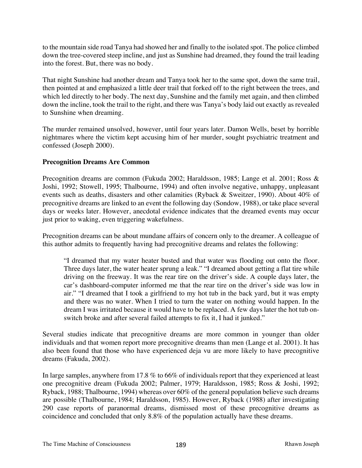to the mountain side road Tanya had showed her and finally to the isolated spot. The police climbed down the tree-covered steep incline, and just as Sunshine had dreamed, they found the trail leading into the forest. But, there was no body.

That night Sunshine had another dream and Tanya took her to the same spot, down the same trail, then pointed at and emphasized a little deer trail that forked off to the right between the trees, and which led directly to her body. The next day, Sunshine and the family met again, and then climbed down the incline, took the trail to the right, and there was Tanya's body laid out exactly as revealed to Sunshine when dreaming.

The murder remained unsolved, however, until four years later. Damon Wells, beset by horrible nightmares where the victim kept accusing him of her murder, sought psychiatric treatment and confessed (Joseph 2000).

# **Precognition Dreams Are Common**

Precognition dreams are common (Fukuda 2002; Haraldsson, 1985; Lange et al. 2001; Ross & Joshi, 1992; Stowell, 1995; Thalbourne, 1994) and often involve negative, unhappy, unpleasant events such as deaths, disasters and other calamities (Ryback & Sweitzer, 1990). About 40% of precognitive dreams are linked to an event the following day (Sondow, 1988), or take place several days or weeks later. However, anecdotal evidence indicates that the dreamed events may occur just prior to waking, even triggering wakefulness.

Precognition dreams can be about mundane affairs of concern only to the dreamer. A colleague of this author admits to frequently having had precognitive dreams and relates the following:

"I dreamed that my water heater busted and that water was flooding out onto the floor. Three days later, the water heater sprung a leak." "I dreamed about getting a flat tire while driving on the freeway. It was the rear tire on the driver's side. A couple days later, the car's dashboard-computer informed me that the rear tire on the driver's side was low in air." "I dreamed that I took a girlfriend to my hot tub in the back yard, but it was empty and there was no water. When I tried to turn the water on nothing would happen. In the dream I was irritated because it would have to be replaced. A few days later the hot tub onswitch broke and after several failed attempts to fix it, I had it junked."

Several studies indicate that precognitive dreams are more common in younger than older individuals and that women report more precognitive dreams than men (Lange et al. 2001). It has also been found that those who have experienced deja vu are more likely to have precognitive dreams (Fakuda, 2002).

In large samples, anywhere from 17.8 % to 66% of individuals report that they experienced at least one precognitive dream (Fukuda 2002; Palmer, 1979; Haraldsson, 1985; Ross & Joshi, 1992; Ryback, 1988; Thalbourne, 1994) whereas over 60% of the general population believe such dreams are possible (Thalbourne, 1984; Haraldsson, 1985). However, Ryback (1988) after investigating 290 case reports of paranormal dreams, dismissed most of these precognitive dreams as coincidence and concluded that only 8.8% of the population actually have these dreams.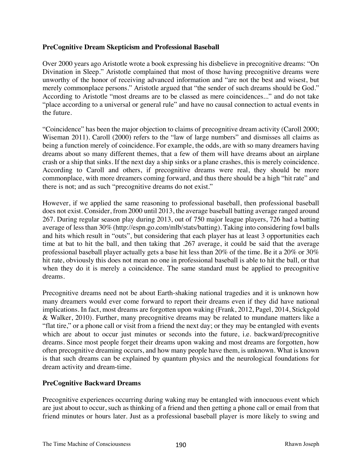# **PreCognitive Dream Skepticism and Professional Baseball**

Over 2000 years ago Aristotle wrote a book expressing his disbelieve in precognitive dreams: "On Divination in Sleep." Aristotle complained that most of those having precognitive dreams were unworthy of the honor of receiving advanced information and "are not the best and wisest, but merely commonplace persons." Aristotle argued that "the sender of such dreams should be God." According to Aristotle "most dreams are to be classed as mere coincidences..." and do not take "place according to a universal or general rule" and have no causal connection to actual events in the future.

"Coincidence" has been the major objection to claims of precognitive dream activity (Caroll 2000; Wiseman 2011). Caroll (2000) refers to the "law of large numbers" and dismisses all claims as being a function merely of coincidence. For example, the odds, are with so many dreamers having dreams about so many different themes, that a few of them will have dreams about an airplane crash or a ship that sinks. If the next day a ship sinks or a plane crashes, this is merely coincidence. According to Caroll and others, if precognitive dreams were real, they should be more commonplace, with more dreamers coming forward, and thus there should be a high "hit rate" and there is not; and as such "precognitive dreams do not exist."

However, if we applied the same reasoning to professional baseball, then professional baseball does not exist. Consider, from 2000 until 2013, the average baseball batting average ranged around 267. During regular season play during 2013, out of 750 major league players, 726 had a batting average of less than 30% (http://espn.go.com/mlb/stats/batting). Taking into considering fowl balls and hits which result in "outs", but considering that each player has at least 3 opportunities each time at bat to hit the ball, and then taking that .267 average, it could be said that the average professional baseball player actually gets a base hit less than 20% of the time. Be it a 20% or 30% hit rate, obviously this does not mean no one in professional baseball is able to hit the ball, or that when they do it is merely a coincidence. The same standard must be applied to precognitive dreams.

Precognitive dreams need not be about Earth-shaking national tragedies and it is unknown how many dreamers would ever come forward to report their dreams even if they did have national implications. In fact, most dreams are forgotten upon waking (Frank, 2012, Pagel, 2014, Stickgold & Walker, 2010). Further, many precognitive dreams may be related to mundane matters like a "flat tire," or a phone call or visit from a friend the next day; or they may be entangled with events which are about to occur just minutes or seconds into the future, i.e. backward/precognitive dreams. Since most people forget their dreams upon waking and most dreams are forgotten, how often precognitive dreaming occurs, and how many people have them, is unknown. What is known is that such dreams can be explained by quantum physics and the neurological foundations for dream activity and dream-time.

# **PreCognitive Backward Dreams**

Precognitive experiences occurring during waking may be entangled with innocuous event which are just about to occur, such as thinking of a friend and then getting a phone call or email from that friend minutes or hours later. Just as a professional baseball player is more likely to swing and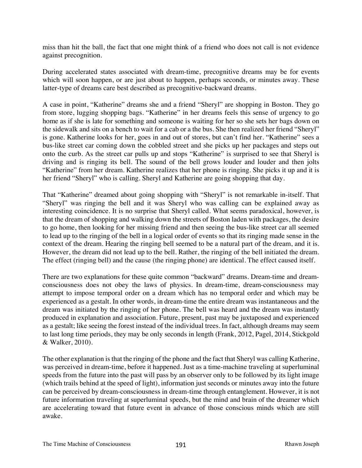miss than hit the ball, the fact that one might think of a friend who does not call is not evidence against precognition.

During accelerated states associated with dream-time, precognitive dreams may be for events which will soon happen, or are just about to happen, perhaps seconds, or minutes away. These latter-type of dreams care best described as precognitive-backward dreams.

A case in point, "Katherine" dreams she and a friend "Sheryl" are shopping in Boston. They go from store, lugging shopping bags. "Katherine" in her dreams feels this sense of urgency to go home as if she is late for something and someone is waiting for her so she sets her bags down on the sidewalk and sits on a bench to wait for a cab or a the bus. She then realized her friend "Sheryl" is gone. Katherine looks for her, goes in and out of stores, but can't find her. "Katherine" sees a bus-like street car coming down the cobbled street and she picks up her packages and steps out onto the curb. As the street car pulls up and stops "Katherine" is surprised to see that Sheryl is driving and is ringing its bell. The sound of the bell grows louder and louder and then jolts "Katherine" from her dream. Katherine realizes that her phone is ringing. She picks it up and it is her friend "Sheryl" who is calling. Sheryl and Katherine are going shopping that day.

That "Katherine" dreamed about going shopping with "Sheryl" is not remarkable in-itself. That "Sheryl" was ringing the bell and it was Sheryl who was calling can be explained away as interesting coincidence. It is no surprise that Sheryl called. What seems paradoxical, however, is that the dream of shopping and walking down the streets of Boston laden with packages, the desire to go home, then looking for her missing friend and then seeing the bus-like street car all seemed to lead up to the ringing of the bell in a logical order of events so that its ringing made sense in the context of the dream. Hearing the ringing bell seemed to be a natural part of the dream, and it is. However, the dream did not lead up to the bell. Rather, the ringing of the bell initiated the dream. The effect (ringing bell) and the cause (the ringing phone) are identical. The effect caused itself.

There are two explanations for these quite common "backward" dreams. Dream-time and dreamconsciousness does not obey the laws of physics. In dream-time, dream-consciousness may attempt to impose temporal order on a dream which has no temporal order and which may be experienced as a gestalt. In other words, in dream-time the entire dream was instantaneous and the dream was initiated by the ringing of her phone. The bell was heard and the dream was instantly produced in explanation and association. Future, present, past may be juxtaposed and experienced as a gestalt; like seeing the forest instead of the individual trees. In fact, although dreams may seem to last long time periods, they may be only seconds in length (Frank, 2012, Pagel, 2014, Stickgold & Walker, 2010).

The other explanation is that the ringing of the phone and the fact that Sheryl was calling Katherine, was perceived in dream-time, before it happened. Just as a time-machine traveling at superluminal speeds from the future into the past will pass by an observer only to be followed by its light image (which trails behind at the speed of light), information just seconds or minutes away into the future can be perceived by dream-consciousness in dream-time through entanglement. However, it is not future information traveling at superluminal speeds, but the mind and brain of the dreamer which are accelerating toward that future event in advance of those conscious minds which are still awake.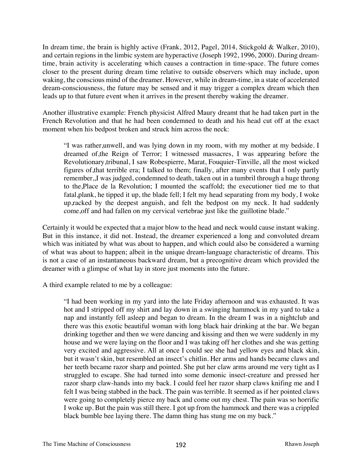In dream time, the brain is highly active (Frank, 2012, Pagel, 2014, Stickgold & Walker, 2010), and certain regions in the limbic system are hyperactive (Joseph 1992, 1996, 2000). During dreamtime, brain activity is accelerating which causes a contraction in time-space. The future comes closer to the present during dream time relative to outside observers which may include, upon waking, the conscious mind of the dreamer. However, while in dream-time, in a state of accelerated dream-consciousness, the future may be sensed and it may trigger a complex dream which then leads up to that future event when it arrives in the present thereby waking the dreamer.

Another illustrative example: French physicist Alfred Maury dreamt that he had taken part in the French Revolution and that he had been condemned to death and his head cut off at the exact moment when his bedpost broken and struck him across the neck:

"I was rather,unwell, and was lying down in my room, with my mother at my bedside. I dreamed of,the Reign of Terror; I witnessed massacres, I was appearing before the Revolutionary,tribunal, I saw Robespierre, Marat, Fouquier-Tinville, all the most wicked figures of,that terrible era; I talked to them; finally, after many events that I only partly remember,,I was judged, condemned to death, taken out in a tumbril through a huge throng to the,Place de la Revolution; I mounted the scaffold; the executioner tied me to that fatal,plank, he tipped it up, the blade fell; I felt my head separating from my body, I woke up,racked by the deepest anguish, and felt the bedpost on my neck. It had suddenly come,off and had fallen on my cervical vertebrae just like the guillotine blade."

Certainly it would be expected that a major blow to the head and neck would cause instant waking. But in this instance, it did not. Instead, the dreamer experienced a long and convoluted dream which was initiated by what was about to happen, and which could also be considered a warning of what was about to happen; albeit in the unique dream-language characteristic of dreams. This is not a case of an instantaneous backward dream, but a precognitive dream which provided the dreamer with a glimpse of what lay in store just moments into the future.

A third example related to me by a colleague:

"I had been working in my yard into the late Friday afternoon and was exhausted. It was hot and I stripped off my shirt and lay down in a swinging hammock in my yard to take a nap and instantly fell asleep and began to dream. In the dream I was in a nightclub and there was this exotic beautiful woman with long black hair drinking at the bar. We began drinking together and then we were dancing and kissing and then we were suddenly in my house and we were laying on the floor and I was taking off her clothes and she was getting very excited and aggressive. All at once I could see she had yellow eyes and black skin, but it wasn't skin, but resembled an insect's chitlin. Her arms and hands became claws and her teeth became razor sharp and pointed. She put her claw arms around me very tight as I struggled to escape. She had turned into some demonic insect-creature and pressed her razor sharp claw-hands into my back. I could feel her razor sharp claws knifing me and I felt I was being stabbed in the back. The pain was terrible. It seemed as if her pointed claws were going to completely pierce my back and come out my chest. The pain was so horrific I woke up. But the pain was still there. I got up from the hammock and there was a crippled black bumble bee laying there. The damn thing has stung me on my back."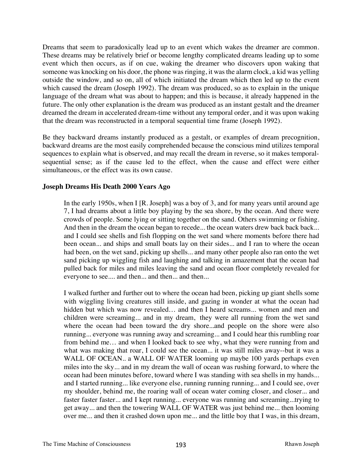Dreams that seem to paradoxically lead up to an event which wakes the dreamer are common. These dreams may be relatively brief or become lengthy complicated dreams leading up to some event which then occurs, as if on cue, waking the dreamer who discovers upon waking that someone was knocking on his door, the phone was ringing, it was the alarm clock, a kid was yelling outside the window, and so on, all of which initiated the dream which then led up to the event which caused the dream (Joseph 1992). The dream was produced, so as to explain in the unique language of the dream what was about to happen; and this is because, it already happened in the future. The only other explanation is the dream was produced as an instant gestalt and the dreamer dreamed the dream in accelerated dream-time without any temporal order, and it was upon waking that the dream was reconstructed in a temporal sequential time frame (Joseph 1992).

Be they backward dreams instantly produced as a gestalt, or examples of dream precognition, backward dreams are the most easily comprehended because the conscious mind utilizes temporal sequences to explain what is observed, and may recall the dream in reverse, so it makes temporalsequential sense; as if the cause led to the effect, when the cause and effect were either simultaneous, or the effect was its own cause.

## **Joseph Dreams His Death 2000 Years Ago**

In the early 1950s, when I [R. Joseph] was a boy of 3, and for many years until around age 7, I had dreams about a little boy playing by the sea shore, by the ocean. And there were crowds of people. Some lying or sitting together on the sand. Others swimming or fishing. And then in the dream the ocean began to recede... the ocean waters drew back back back... and I could see shells and fish flopping on the wet sand where moments before there had been ocean... and ships and small boats lay on their sides... and I ran to where the ocean had been, on the wet sand, picking up shells... and many other people also ran onto the wet sand picking up wiggling fish and laughing and talking in amazement that the ocean had pulled back for miles and miles leaving the sand and ocean floor completely revealed for everyone to see.... and then... and then... and then...

I walked further and further out to where the ocean had been, picking up giant shells some with wiggling living creatures still inside, and gazing in wonder at what the ocean had hidden but which was now revealed… and then I heard screams... women and men and children were screaming... and in my dream, they were all running from the wet sand where the ocean had been toward the dry shore...and people on the shore were also running... everyone was running away and screaming... and I could hear this rumbling roar from behind me… and when I looked back to see why, what they were running from and what was making that roar, I could see the ocean... it was still miles away--but it was a WALL OF OCEAN.. a WALL OF WATER looming up maybe 100 yards perhaps even miles into the sky... and in my dream the wall of ocean was rushing forward, to where the ocean had been minutes before, toward where I was standing with sea shells in my hands... and I started running... like everyone else, running running running... and I could see, over my shoulder, behind me, the roaring wall of ocean water coming closer, and closer... and faster faster faster... and I kept running... everyone was running and screaming...trying to get away... and then the towering WALL OF WATER was just behind me... then looming over me... and then it crashed down upon me... and the little boy that I was, in this dream,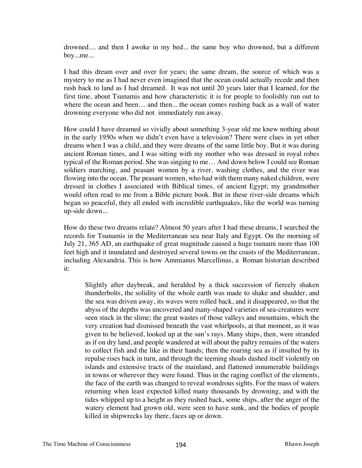drowned.... and then I awoke in my bed... the same boy who drowned, but a different boy...me...

I had this dream over and over for years; the same dream, the source of which was a mystery to me as I had never even imagined that the ocean could actually recede and then rush back to land as I had dreamed. It was not until 20 years later that I learned, for the first time, about Tsunamis and how characteristic it is for people to foolishly run out to where the ocean and been… and then... the ocean comes rushing back as a wall of water drowning everyone who did not immediately run away.

How could I have dreamed so vividly about something 3-year old me knew nothing about in the early 1950s when we didn't even have a television? There were clues in yet other dreams when I was a child, and they were dreams of the same little boy. But it was during ancient Roman times, and I was sitting with my mother who was dressed in royal robes typical of the Roman period. She was singing to me… And down below I could see Roman soldiers marching, and peasant women by a river, washing clothes, and the river was flowing into the ocean. The peasant women, who had with them many naked children, were dressed in clothes I associated with Biblical times, of ancient Egypt; my grandmother would often read to me from a Bible picture book. But in these river-side dreams which began so peaceful, they all ended with incredible earthquakes, like the world was turning up-side down...

How do these two dreams relate? Almost 50 years after I had these dreams, I searched the records for Tsunamis in the Mediterranean sea near Italy and Egypt. On the morning of July 21, 365 AD, an earthquake of great magnitude caused a huge tsunami more than 100 feet high and it inundated and destroyed several towns on the coasts of the Mediterranean, including Alexandria. This is how Ammianus Marcellinus, a Roman historian described it:

Slightly after daybreak, and heralded by a thick succession of fiercely shaken thunderbolts, the solidity of the whole earth was made to shake and shudder, and the sea was driven away, its waves were rolled back, and it disappeared, so that the abyss of the depths was uncovered and many-shaped varieties of sea-creatures were seen stuck in the slime; the great wastes of those valleys and mountains, which the very creation had dismissed beneath the vast whirlpools, at that moment, as it was given to be believed, looked up at the sun's rays. Many ships, then, were stranded as if on dry land, and people wandered at will about the paltry remains of the waters to collect fish and the like in their hands; then the roaring sea as if insulted by its repulse rises back in turn, and through the teeming shoals dashed itself violently on islands and extensive tracts of the mainland, and flattened innumerable buildings in towns or wherever they were found. Thus in the raging conflict of the elements, the face of the earth was changed to reveal wondrous sights. For the mass of waters returning when least expected killed many thousands by drowning, and with the tides whipped up to a height as they rushed back, some ships, after the anger of the watery element had grown old, were seen to have sunk, and the bodies of people killed in shipwrecks lay there, faces up or down.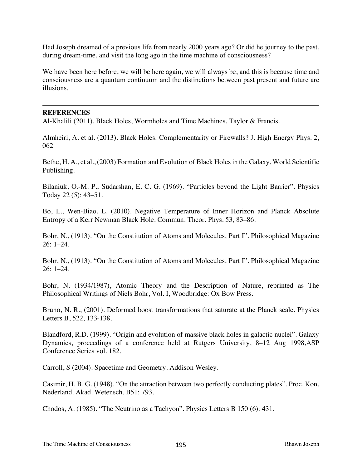Had Joseph dreamed of a previous life from nearly 2000 years ago? Or did he journey to the past, during dream-time, and visit the long ago in the time machine of consciousness?

We have been here before, we will be here again, we will always be, and this is because time and consciousness are a quantum continuum and the distinctions between past present and future are illusions.

#### **REFERENCES**

Al-Khalili (2011). Black Holes, Wormholes and Time Machines, Taylor & Francis.

Almheiri, A. et al. (2013). Black Holes: Complementarity or Firewalls? J. High Energy Phys. 2, 062

Bethe, H. A., et al., (2003) Formation and Evolution of Black Holes in the Galaxy, World Scientific Publishing.

Bilaniuk, O.-M. P.; Sudarshan, E. C. G. (1969). "Particles beyond the Light Barrier". Physics Today 22 (5): 43–51.

Bo, L., Wen-Biao, L. (2010). Negative Temperature of Inner Horizon and Planck Absolute Entropy of a Kerr Newman Black Hole. Commun. Theor. Phys. 53, 83–86.

Bohr, N., (1913). "On the Constitution of Atoms and Molecules, Part I". Philosophical Magazine 26: 1–24.

Bohr, N., (1913). "On the Constitution of Atoms and Molecules, Part I". Philosophical Magazine 26: 1–24.

Bohr, N. (1934/1987), Atomic Theory and the Description of Nature, reprinted as The Philosophical Writings of Niels Bohr, Vol. I, Woodbridge: Ox Bow Press.

Bruno, N. R., (2001). Deformed boost transformations that saturate at the Planck scale. Physics Letters B, 522, 133-138.

Blandford, R.D. (1999). "Origin and evolution of massive black holes in galactic nuclei". Galaxy Dynamics, proceedings of a conference held at Rutgers University, 8–12 Aug 1998,ASP Conference Series vol. 182.

Carroll, S (2004). Spacetime and Geometry. Addison Wesley.

Casimir, H. B. G. (1948). "On the attraction between two perfectly conducting plates". Proc. Kon. Nederland. Akad. Wetensch. B51: 793.

Chodos, A. (1985). "The Neutrino as a Tachyon". Physics Letters B 150 (6): 431.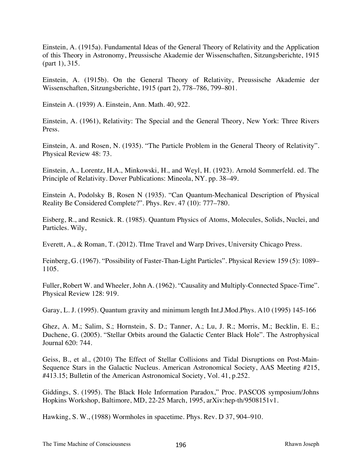Einstein, A. (1915a). Fundamental Ideas of the General Theory of Relativity and the Application of this Theory in Astronomy, Preussische Akademie der Wissenschaften, Sitzungsberichte, 1915 (part 1), 315.

Einstein, A. (1915b). On the General Theory of Relativity, Preussische Akademie der Wissenschaften, Sitzungsberichte, 1915 (part 2), 778–786, 799–801.

Einstein A. (1939) A. Einstein, Ann. Math. 40, 922.

Einstein, A. (1961), Relativity: The Special and the General Theory, New York: Three Rivers Press.

Einstein, A. and Rosen, N. (1935). "The Particle Problem in the General Theory of Relativity". Physical Review 48: 73.

Einstein, A., Lorentz, H.A., Minkowski, H., and Weyl, H. (1923). Arnold Sommerfeld. ed. The Principle of Relativity. Dover Publications: Mineola, NY. pp. 38–49.

Einstein A, Podolsky B, Rosen N (1935). "Can Quantum-Mechanical Description of Physical Reality Be Considered Complete?". Phys. Rev. 47 (10): 777–780.

Eisberg, R., and Resnick. R. (1985). Quantum Physics of Atoms, Molecules, Solids, Nuclei, and Particles. Wily,

Everett, A., & Roman, T. (2012). TIme Travel and Warp Drives, University Chicago Press.

Feinberg, G. (1967). "Possibility of Faster-Than-Light Particles". Physical Review 159 (5): 1089– 1105.

Fuller, Robert W. and Wheeler, John A. (1962). "Causality and Multiply-Connected Space-Time". Physical Review 128: 919.

Garay, L. J. (1995). Quantum gravity and minimum length Int.J.Mod.Phys. A10 (1995) 145-166

Ghez, A. M.; Salim, S.; Hornstein, S. D.; Tanner, A.; Lu, J. R.; Morris, M.; Becklin, E. E.; Duchene, G. (2005). "Stellar Orbits around the Galactic Center Black Hole". The Astrophysical Journal 620: 744.

Geiss, B., et al., (2010) The Effect of Stellar Collisions and Tidal Disruptions on Post-Main-Sequence Stars in the Galactic Nucleus. American Astronomical Society, AAS Meeting #215, #413.15; Bulletin of the American Astronomical Society, Vol. 41, p.252.

Giddings, S. (1995). The Black Hole Information Paradox," Proc. PASCOS symposium/Johns Hopkins Workshop, Baltimore, MD, 22-25 March, 1995, arXiv:hep-th/9508151v1.

Hawking, S. W., (1988) Wormholes in spacetime. Phys. Rev. D 37, 904–910.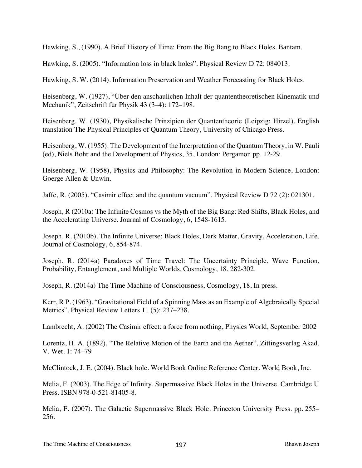Hawking, S., (1990). A Brief History of Time: From the Big Bang to Black Holes. Bantam.

Hawking, S. (2005). "Information loss in black holes". Physical Review D 72: 084013.

Hawking, S. W. (2014). Information Preservation and Weather Forecasting for Black Holes.

Heisenberg, W. (1927), "Über den anschaulichen Inhalt der quantentheoretischen Kinematik und Mechanik", Zeitschrift für Physik 43 (3–4): 172–198.

Heisenberg. W. (1930), Physikalische Prinzipien der Quantentheorie (Leipzig: Hirzel). English translation The Physical Principles of Quantum Theory, University of Chicago Press.

Heisenberg, W. (1955). The Development of the Interpretation of the Quantum Theory, in W. Pauli (ed), Niels Bohr and the Development of Physics, 35, London: Pergamon pp. 12-29.

Heisenberg, W. (1958), Physics and Philosophy: The Revolution in Modern Science, London: Goerge Allen & Unwin.

Jaffe, R. (2005). "Casimir effect and the quantum vacuum". Physical Review D 72 (2): 021301.

Joseph, R (2010a) The Infinite Cosmos vs the Myth of the Big Bang: Red Shifts, Black Holes, and the Accelerating Universe. Journal of Cosmology, 6, 1548-1615.

Joseph, R. (2010b). The Infinite Universe: Black Holes, Dark Matter, Gravity, Acceleration, Life. Journal of Cosmology, 6, 854-874.

Joseph, R. (2014a) Paradoxes of Time Travel: The Uncertainty Principle, Wave Function, Probability, Entanglement, and Multiple Worlds, Cosmology, 18, 282-302.

Joseph, R. (2014a) The Time Machine of Consciousness, Cosmology, 18, In press.

Kerr, R P. (1963). "Gravitational Field of a Spinning Mass as an Example of Algebraically Special Metrics". Physical Review Letters 11 (5): 237–238.

Lambrecht, A. (2002) The Casimir effect: a force from nothing, Physics World, September 2002

Lorentz, H. A. (1892), "The Relative Motion of the Earth and the Aether", Zittingsverlag Akad. V. Wet. 1: 74–79

McClintock, J. E. (2004). Black hole. World Book Online Reference Center. World Book, Inc.

Melia, F. (2003). The Edge of Infinity. Supermassive Black Holes in the Universe. Cambridge U Press. ISBN 978-0-521-81405-8.

Melia, F. (2007). The Galactic Supermassive Black Hole. Princeton University Press. pp. 255– 256.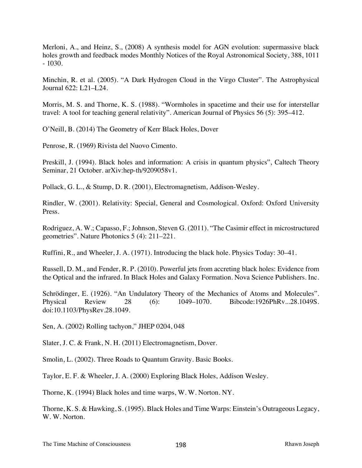Merloni, A., and Heinz, S., (2008) A synthesis model for AGN evolution: supermassive black holes growth and feedback modes Monthly Notices of the Royal Astronomical Society, 388, 1011  $-1030.$ 

Minchin, R. et al. (2005). "A Dark Hydrogen Cloud in the Virgo Cluster". The Astrophysical Journal 622: L21–L24.

Morris, M. S. and Thorne, K. S. (1988). "Wormholes in spacetime and their use for interstellar travel: A tool for teaching general relativity". American Journal of Physics 56 (5): 395–412.

O'Neill, B. (2014) The Geometry of Kerr Black Holes, Dover

Penrose, R. (1969) Rivista del Nuovo Cimento.

Preskill, J. (1994). Black holes and information: A crisis in quantum physics", Caltech Theory Seminar, 21 October. arXiv:hep-th/9209058v1.

Pollack, G. L., & Stump, D. R. (2001), Electromagnetism, Addison-Wesley.

Rindler, W. (2001). Relativity: Special, General and Cosmological. Oxford: Oxford University Press.

Rodriguez, A. W.; Capasso, F.; Johnson, Steven G. (2011). "The Casimir effect in microstructured geometries". Nature Photonics 5 (4): 211–221.

Ruffini, R., and Wheeler, J. A. (1971). Introducing the black hole. Physics Today: 30–41.

Russell, D. M., and Fender, R. P. (2010). Powerful jets from accreting black holes: Evidence from the Optical and the infrared. In Black Holes and Galaxy Formation. Nova Science Publishers. Inc.

Schrödinger, E. (1926). "An Undulatory Theory of the Mechanics of Atoms and Molecules". Physical Review 28 (6): 1049–1070. Bibcode:1926PhRv...28.1049S. doi:10.1103/PhysRev.28.1049.

Sen, A. (2002) Rolling tachyon," JHEP 0204, 048

Slater, J. C. & Frank, N. H. (2011) Electromagnetism, Dover.

Smolin, L. (2002). Three Roads to Quantum Gravity. Basic Books.

Taylor, E. F. & Wheeler, J. A. (2000) Exploring Black Holes, Addison Wesley.

Thorne, K. (1994) Black holes and time warps, W. W. Norton. NY.

Thorne, K. S. & Hawking, S. (1995). Black Holes and Time Warps: Einstein's Outrageous Legacy, W. W. Norton.